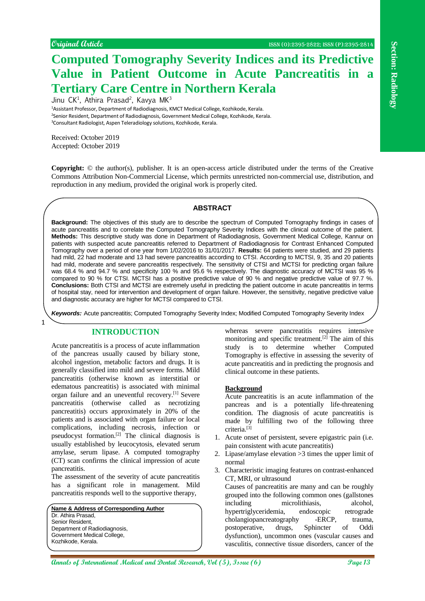# **Computed Tomography Severity Indices and its Predictive Value in Patient Outcome in Acute Pancreatitis in a Tertiary Care Centre in Northern Kerala**

Jinu CK<sup>1</sup>, Athira Prasad<sup>2</sup>, Kavya MK<sup>3</sup>

<sup>1</sup>Assistant Professor, Department of Radiodiagnosis, KMCT Medical College, Kozhikode, Kerala. <sup>2</sup>Senior Resident, Department of Radiodiagnosis, Government Medical College, Kozhikode, Kerala. <sup>3</sup>Consultant Radiologist, Aspen Teleradiology solutions, Kozhikode, Kerala.

Received: October 2019 Accepted: October 2019

1

**Copyright:** © the author(s), publisher. It is an open-access article distributed under the terms of the Creative Commons Attribution Non-Commercial License, which permits unrestricted non-commercial use, distribution, and reproduction in any medium, provided the original work is properly cited.

# **ABSTRACT**

**Constructed Terms of International Medical and Terms of Constructional Annual Medical and Terms of Terms of Terms of Terms of Terms of Terms of Terms of Terms of Terms of Terms of Terms of Terms of Terms of Terms of Terms Background:** The objectives of this study are to describe the spectrum of Computed Tomography findings in cases of acute pancreatitis and to correlate the Computed Tomography Severity Indices with the clinical outcome of the patient. **Methods:** This descriptive study was done in Department of Radiodiagnosis, Government Medical College, Kannur on patients with suspected acute pancreatitis referred to Department of Radiodiagnosis for Contrast Enhanced Computed Tomography over a period of one year from 1/02/2016 to 31/01/2017. **Results:** 64 patients were studied, and 29 patients had mild, 22 had moderate and 13 had severe pancreatitis according to CTSI. According to MCTSI, 9, 35 and 20 patients had mild, moderate and severe pancreatitis respectively. The sensitivity of CTSI and MCTSI for predicting organ failure was 68.4 % and 94.7 % and specificity 100 % and 95.6 % respectively. The diagnostic accuracy of MCTSI was 95 % compared to 90 % for CTSI. MCTSI has a positive predictive value of 90 % and negative predictive value of 97.7 %. **Conclusions:** Both CTSI and MCTSI are extremely useful in predicting the patient outcome in acute pancreatitis in terms of hospital stay, need for intervention and development of organ failure. However, the sensitivity, negative predictive value and diagnostic accuracy are higher for MCTSI compared to CTSI.

*Keywords:* Acute pancreatitis; Computed Tomography Severity Index; Modified Computed Tomography Severity Index

# **INTRODUCTION**

Acute pancreatitis is a process of acute inflammation of the pancreas usually caused by biliary stone, alcohol ingestion, metabolic factors and drugs. It is generally classified into mild and severe forms. Mild pancreatitis (otherwise known as interstitial or edematous pancreatitis) is associated with minimal organ failure and an uneventful recovery. [1] Severe pancreatitis (otherwise called as necrotizing pancreatitis) occurs approximately in 20% of the patients and is associated with organ failure or local complications, including necrosis, infection or pseudocyst formation. [2] The clinical diagnosis is usually established by leucocytosis, elevated serum amylase, serum lipase. A computed tomography (CT) scan confirms the clinical impression of acute pancreatitis.

The assessment of the severity of acute pancreatitis has a significant role in management. Mild pancreatitis responds well to the supportive therapy,

**Name & Address of Corresponding Author** Dr. Athira Prasad, Senior Resident, Department of Radiodiagnosis, Government Medical College, Kozhikode, Kerala.

whereas severe pancreatitis requires intensive monitoring and specific treatment.<sup>[2]</sup> The aim of this study is to determine whether Computed Tomography is effective in assessing the severity of acute pancreatitis and in predicting the prognosis and clinical outcome in these patients.

#### **Background**

Acute pancreatitis is an acute inflammation of the pancreas and is a potentially life-threatening condition. The diagnosis of acute pancreatitis is made by fulfilling two of the following three criteria. [3]

- 1. Acute onset of persistent, severe epigastric pain (i.e. pain consistent with acute pancreatitis)
- 2. Lipase/amylase elevation >3 times the upper limit of normal
- 3. Characteristic imaging features on contrast-enhanced CT, MRI, or ultrasound

Causes of pancreatitis are many and can be roughly grouped into the following common ones (gallstones including microlithiasis, alcohol, hypertriglyceridemia, endoscopic retrograde cholangiopancreatography -ERCP, trauma, postoperative, drugs, Sphincter of Oddi dysfunction), uncommon ones (vascular causes and vasculitis, connective tissue disorders, cancer of the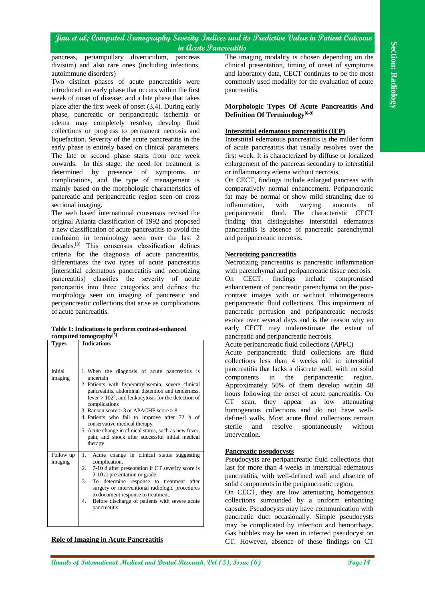#### **Table 1: Indications to perform contrast-enhanced computed tomography[5]**

| in Acute Pancreatitis                                                                                                                                                                                                                                                                                                                                                                                                                                                                                                                     |                                                                                                                                                                                                                                                                                                                                                                                                                                                                                                                     |
|-------------------------------------------------------------------------------------------------------------------------------------------------------------------------------------------------------------------------------------------------------------------------------------------------------------------------------------------------------------------------------------------------------------------------------------------------------------------------------------------------------------------------------------------|---------------------------------------------------------------------------------------------------------------------------------------------------------------------------------------------------------------------------------------------------------------------------------------------------------------------------------------------------------------------------------------------------------------------------------------------------------------------------------------------------------------------|
| pancreas, periampullary diverticulum, pancreas<br>divisum) and also rare ones (including infections,<br>autoimmune disorders)                                                                                                                                                                                                                                                                                                                                                                                                             | The imaging modality is chosen depending on the<br>clinical presentation, timing of onset of symptoms<br>and laboratory data, CECT continues to be the most                                                                                                                                                                                                                                                                                                                                                         |
| Two distinct phases of acute pancreatitis were<br>introduced: an early phase that occurs within the first<br>week of onset of disease; and a late phase that takes                                                                                                                                                                                                                                                                                                                                                                        | commonly used modality for the evaluation of acute<br>pancreatitis.                                                                                                                                                                                                                                                                                                                                                                                                                                                 |
| place after the first week of onset (3,4). During early<br>phase, pancreatic or peripancreatic ischemia or<br>edema may completely resolve, develop fluid                                                                                                                                                                                                                                                                                                                                                                                 | Morphologic Types Of Acute Pancreatitis And<br>Definition Of Terminology <sup>[6-9]</sup>                                                                                                                                                                                                                                                                                                                                                                                                                           |
| collections or progress to permanent necrosis and<br>liquefaction. Severity of the acute pancreatitis in the<br>early phase is entirely based on clinical parameters.                                                                                                                                                                                                                                                                                                                                                                     | Interstitial edematous pancreatitis (IEP)<br>Interstitial edematous pancreatitis is the milder form<br>of acute pancreatitis that usually resolves over the                                                                                                                                                                                                                                                                                                                                                         |
| The late or second phase starts from one week<br>onwards. In this stage, the need for treatment is<br>by<br>presence<br>of<br>symptoms<br>determined<br>or<br>complications, and the type of management is                                                                                                                                                                                                                                                                                                                                | first week. It is characterized by diffuse or localized<br>enlargement of the pancreas secondary to interstitial<br>or inflammatory edema without necrosis.<br>On CECT, findings include enlarged pancreas with                                                                                                                                                                                                                                                                                                     |
| mainly based on the morphologic characteristics of<br>pancreatic and peripancreatic region seen on cross<br>sectional imaging.<br>The web based international consensus revised the                                                                                                                                                                                                                                                                                                                                                       | comparatively normal enhancement. Peripancreatic<br>fat may be normal or show mild stranding due to<br>varying<br>inflammation,<br>with<br>amounts<br>of<br>peripancreatic fluid. The characteristic CECT                                                                                                                                                                                                                                                                                                           |
| original Atlanta classification of 1992 and proposed<br>a new classification of acute pancreatitis to avoid the<br>confusion in terminology seen over the last 2<br>decades. <sup>[3]</sup> This consensus classification defines                                                                                                                                                                                                                                                                                                         | finding that distinguishes interstitial edematous<br>pancreatitis is absence of pancreatic parenchymal<br>and peripancreatic necrosis.                                                                                                                                                                                                                                                                                                                                                                              |
| criteria for the diagnosis of acute pancreatitis,<br>differentiates the two types of acute pancreatitis<br>(interstitial edematous pancreatitis and necrotizing<br>pancreatitis) classifies the severity of acute<br>pancreatitis into three categories and defines the<br>morphology seen on imaging of pancreatic and<br>peripancreatic collections that arise as complications                                                                                                                                                         | <b>Necrotizing pancreatitis</b><br>Necrotizing pancreatitis is pancreatic inflammation<br>with parenchymal and peripancreatic tissue necrosis.<br>findings<br>include<br>compromised<br>On<br>CECT,<br>enhancement of pancreatic parenchyma on the post-<br>contrast images with or without inhomogeneous<br>peripancreatic fluid collections. This impairment of                                                                                                                                                   |
| of acute pancreatitis.<br>Table 1: Indications to perform contrast-enhanced                                                                                                                                                                                                                                                                                                                                                                                                                                                               | pancreatic perfusion and peripancreatic necrosis<br>evolve over several days and is the reason why an<br>early CECT may underestimate the extent of                                                                                                                                                                                                                                                                                                                                                                 |
| computed tomography <sup>[5]</sup><br><b>Indications</b><br><b>Types</b>                                                                                                                                                                                                                                                                                                                                                                                                                                                                  | pancreatic and peripancreatic necrosis.<br>Acute peripancreatic fluid collections (APFC)<br>Acute peripancreatic fluid collections are fluid<br>collections less than 4 weeks old in interstitial                                                                                                                                                                                                                                                                                                                   |
| 1. When the diagnosis of acute pancreatitis is<br>Initial<br>imaging<br>uncertain<br>2. Patients with hyperamylasemia, severe clinical<br>pancreatitis, abdominal distention and tenderness,<br>fever $> 102^{\circ}$ , and leukocytosis for the detection of<br>complications<br>3. Ranson score $>$ 3 or APACHE score $>$ 8.<br>4. Patients who fail to improve after 72 h of<br>conservative medical therapy.<br>5. Acute change in clinical status, such as new fever,<br>pain, and shock after successful initial medical<br>therapy | pancreatitis that lacks a discrete wall, with no solid<br>the<br>peripancreatic<br>components<br>in<br>region.<br>Approximately 50% of them develop within 48<br>hours following the onset of acute pancreatitis. On<br>$CT$ scan,<br>they appear as low attenuating<br>homogenous collections and do not have well-<br>defined walls. Most acute fluid collections remain<br>sterile<br>spontaneously<br>without<br>and<br>resolve<br>intervention.                                                                |
| Acute change in clinical status suggesting<br>Follow up<br>1.<br>imaging<br>complication.<br>2. 7-10 d after presentation if CT severity score is<br>3-10 at presentation or grade.<br>3. To determine response to treatment after<br>surgery or interventional radiologic procedures<br>to document response to treatment.<br>4. Before discharge of patients with severe acute<br>pancreatitis                                                                                                                                          | <b>Pancreatic pseudocysts</b><br>Pseudocysts are peripancreatic fluid collections that<br>last for more than 4 weeks in interstitial edematous<br>pancreatitis, with well-defined wall and absence of<br>solid components in the peripancreatic region.<br>On CECT, they are low attenuating homogenous<br>collections surrounded by a uniform enhancing<br>capsule. Pseudocysts may have communication with<br>pancreatic duct occasionally. Simple pseudocysts<br>may be complicated by infection and hemorrhage. |
| <b>Role of Imaging in Acute Pancreatitis</b>                                                                                                                                                                                                                                                                                                                                                                                                                                                                                              | Gas bubbles may be seen in infected pseudocyst on<br>CT. However, absence of these findings on CT                                                                                                                                                                                                                                                                                                                                                                                                                   |
| <b>annals of International Medical and Dental Research, Vol (5), Issue (6)</b>                                                                                                                                                                                                                                                                                                                                                                                                                                                            | Page 14                                                                                                                                                                                                                                                                                                                                                                                                                                                                                                             |

## **Role of Imaging in Acute Pancreatitis**

## **Morphologic Types Of Acute Pancreatitis And Definition Of Terminology[6-9]**

### **Interstitial edematous pancreatitis (IEP)**

## **Necrotizing pancreatitis**

# Acute peripancreatic fluid collections (APFC)

# **Pancreatic pseudocysts**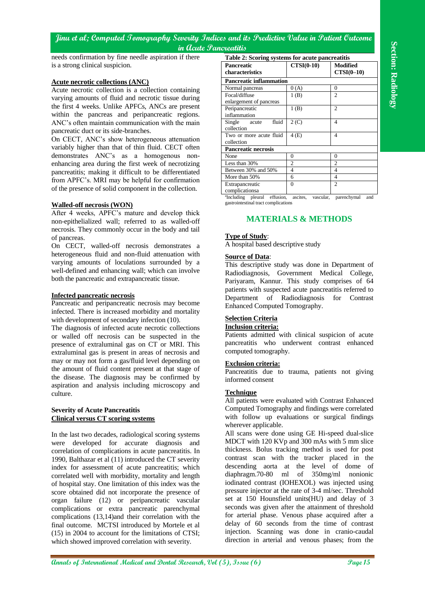## **Acute necrotic collections (ANC)**

# **Walled-off necrosis (WON)**

# **Infected pancreatic necrosis**

#### **Severity of Acute Pancreatitis Clinical versus CT scoring systems**

| Table 2: Scoring systems for acute pancreatitis<br>$CTSI(0-10)$<br>is a strong clinical suspicion.<br><b>Modified</b><br><b>Pancreatic</b><br>characteristics<br>$CTSI(0-10)$<br><b>Pancreatic inflammation</b><br><u>Acute necrotic collections (ANC)</u><br>0(A)<br>$\boldsymbol{0}$<br>Normal pancreas<br>Acute necrotic collection is a collection containing<br>1(B)<br>Focal/diffuse<br>$\overline{2}$<br>varying amounts of fluid and necrotic tissue during<br>enlargement of pancreas<br>the first 4 weeks. Unlike APFCs, ANCs are present<br>$\mathfrak{2}$<br>Peripancreatic<br>1(B)<br>within the pancreas and peripancreatic regions.<br>inflammation<br>2(C)<br>$\overline{4}$<br>Single<br>fluid<br>ANC's often maintain communication with the main<br>acute<br>collection<br>pancreatic duct or its side-branches.<br>Two or more acute fluid<br>4(E)<br>$\overline{4}$<br>On CECT, ANC's show heterogeneous attenuation<br>collection<br>variably higher than that of thin fluid. CECT often<br>Pancreatic necrosis<br>demonstrates ANC's as a homogenous non-<br>$\mathbf{0}$<br>None<br>$\mathbf{0}$<br>$\mathbf{2}$<br>$\overline{2}$<br>Less than 30%<br>enhancing area during the first week of necrotizing<br>Between 30% and 50%<br>$\overline{4}$<br>$\overline{4}$<br>pancreatitis; making it difficult to be differentiated<br>$\overline{4}$<br>More than 50%<br>6<br>from APFC's. MRI may be helpful for confirmation<br>$\Omega$<br>$\overline{c}$<br>Extrapancreatic<br>of the presence of solid component in the collection.<br>complicationsa<br><sup>a</sup> Including pleural effusion,<br>ascites,<br>vascular,<br>parenchymal<br>and<br>gastrointestinal tract complications<br><b>Walled-off necrosis (WON)</b><br>After 4 weeks, APFC's mature and develop thick<br><b>MATERIALS &amp; METHODS</b><br>non-epithelialized wall; referred to as walled-off<br>necrosis. They commonly occur in the body and tail<br><b>Type of Study:</b><br>of pancreas.<br>A hospital based descriptive study<br>On CECT, walled-off necrosis demonstrates a<br>heterogeneous fluid and non-fluid attenuation with<br><b>Source of Data:</b><br>varying amounts of loculations surrounded by a<br>This descriptive study was done in Department of<br>well-defined and enhancing wall; which can involve<br>Radiodiagnosis, Government Medical College,<br>both the pancreatic and extrapancreatic tissue.<br>Pariyaram, Kannur. This study comprises of 64<br>patients with suspected acute pancreatitis referred to<br><b>Infected pancreatic necrosis</b><br>Department of Radiodiagnosis<br>for<br>Pancreatic and peripancreatic necrosis may become<br>Enhanced Computed Tomography.<br>infected. There is increased morbidity and mortality<br><b>Selection Criteria</b><br>with development of secondary infection (10).<br><b>Inclusion criteria:</b><br>The diagnosis of infected acute necrotic collections<br>Patients admitted with clinical suspicion of acute<br>or walled off necrosis can be suspected in the<br>pancreatitis who underwent contrast enhanced<br>presence of extraluminal gas on CT or MRI. This<br>computed tomography.<br>extraluminal gas is present in areas of necrosis and<br>may or may not form a gas/fluid level depending on<br><b>Exclusion criteria:</b><br>the amount of fluid content present at that stage of<br>Pancreatitis due to trauma, patients not giving<br>the disease. The diagnosis may be confirmed by<br>informed consent<br>aspiration and analysis including microscopy and<br><b>Technique</b><br>culture.<br>All patients were evaluated with Contrast Enhanced<br>Computed Tomography and findings were correlated<br><b>Severity of Acute Pancreatitis</b><br>with follow up evaluations or surgical findings<br><b>Clinical versus CT scoring systems</b><br>wherever applicable.<br>All scans were done using GE Hi-speed dual-slice<br>In the last two decades, radiological scoring systems<br>MDCT with 120 KVp and 300 mAs with 5 mm slice<br>were developed for accurate diagnosis and<br>thickness. Bolus tracking method is used for post<br>correlation of complications in acute pancreatitis. In<br>contrast scan with the tracker placed in the<br>1990, Balthazar et al (11) introduced the CT severity<br>descending aorta at the level of dome of<br>index for assessment of acute pancreatitis; which<br>diaphragm.70-80 ml of 350mg/ml nonionic<br>correlated well with morbidity, mortality and length<br>iodinated contrast (IOHEXOL) was injected using<br>of hospital stay. One limitation of this index was the<br>pressure injector at the rate of 3-4 ml/sec. Threshold<br>score obtained did not incorporate the presence of<br>set at 150 Hounsfield units (HU) and delay of 3<br>organ failure (12) or peripancreatic vascular<br>seconds was given after the attainment of threshold<br>complications or extra pancreatic parenchymal<br>for arterial phase. Venous phase acquired after a<br>complications (13,14) and their correlation with the<br>delay of 60 seconds from the time of contrast<br>final outcome. MCTSI introduced by Mortele et al<br>injection. Scanning was done in cranio-caudal<br>(15) in 2004 to account for the limitations of CTSI;<br>direction in arterial and venous phases; from the<br>which showed improved correlation with severity. | needs confirmation by fine needle aspiration if there | in Acute Pancreatitis |          |
|--------------------------------------------------------------------------------------------------------------------------------------------------------------------------------------------------------------------------------------------------------------------------------------------------------------------------------------------------------------------------------------------------------------------------------------------------------------------------------------------------------------------------------------------------------------------------------------------------------------------------------------------------------------------------------------------------------------------------------------------------------------------------------------------------------------------------------------------------------------------------------------------------------------------------------------------------------------------------------------------------------------------------------------------------------------------------------------------------------------------------------------------------------------------------------------------------------------------------------------------------------------------------------------------------------------------------------------------------------------------------------------------------------------------------------------------------------------------------------------------------------------------------------------------------------------------------------------------------------------------------------------------------------------------------------------------------------------------------------------------------------------------------------------------------------------------------------------------------------------------------------------------------------------------------------------------------------------------------------------------------------------------------------------------------------------------------------------------------------------------------------------------------------------------------------------------------------------------------------------------------------------------------------------------------------------------------------------------------------------------------------------------------------------------------------------------------------------------------------------------------------------------------------------------------------------------------------------------------------------------------------------------------------------------------------------------------------------------------------------------------------------------------------------------------------------------------------------------------------------------------------------------------------------------------------------------------------------------------------------------------------------------------------------------------------------------------------------------------------------------------------------------------------------------------------------------------------------------------------------------------------------------------------------------------------------------------------------------------------------------------------------------------------------------------------------------------------------------------------------------------------------------------------------------------------------------------------------------------------------------------------------------------------------------------------------------------------------------------------------------------------------------------------------------------------------------------------------------------------------------------------------------------------------------------------------------------------------------------------------------------------------------------------------------------------------------------------------------------------------------------------------------------------------------------------------------------------------------------------------------------------------------------------------------------------------------------------------------------------------------------------------------------------------------------------------------------------------------------------------------------------------------------------------------------------------------------------------------------------------------------------------------------------------------------------------------------------------------------------------------------------------------------------------------------------------------------------------------------------------------------------------------------------------------------------------------------------------------------------------------------------------------------------------------------------------------------------------------------------------------------------------------------------------------------------------------------------------------------------------------------------------------------------------------------------------------------------------------------------------------------------------------------|-------------------------------------------------------|-----------------------|----------|
|                                                                                                                                                                                                                                                                                                                                                                                                                                                                                                                                                                                                                                                                                                                                                                                                                                                                                                                                                                                                                                                                                                                                                                                                                                                                                                                                                                                                                                                                                                                                                                                                                                                                                                                                                                                                                                                                                                                                                                                                                                                                                                                                                                                                                                                                                                                                                                                                                                                                                                                                                                                                                                                                                                                                                                                                                                                                                                                                                                                                                                                                                                                                                                                                                                                                                                                                                                                                                                                                                                                                                                                                                                                                                                                                                                                                                                                                                                                                                                                                                                                                                                                                                                                                                                                                                                                                                                                                                                                                                                                                                                                                                                                                                                                                                                                                                                                                                                                                                                                                                                                                                                                                                                                                                                                                                                                                                                                                  |                                                       |                       |          |
|                                                                                                                                                                                                                                                                                                                                                                                                                                                                                                                                                                                                                                                                                                                                                                                                                                                                                                                                                                                                                                                                                                                                                                                                                                                                                                                                                                                                                                                                                                                                                                                                                                                                                                                                                                                                                                                                                                                                                                                                                                                                                                                                                                                                                                                                                                                                                                                                                                                                                                                                                                                                                                                                                                                                                                                                                                                                                                                                                                                                                                                                                                                                                                                                                                                                                                                                                                                                                                                                                                                                                                                                                                                                                                                                                                                                                                                                                                                                                                                                                                                                                                                                                                                                                                                                                                                                                                                                                                                                                                                                                                                                                                                                                                                                                                                                                                                                                                                                                                                                                                                                                                                                                                                                                                                                                                                                                                                                  |                                                       |                       |          |
|                                                                                                                                                                                                                                                                                                                                                                                                                                                                                                                                                                                                                                                                                                                                                                                                                                                                                                                                                                                                                                                                                                                                                                                                                                                                                                                                                                                                                                                                                                                                                                                                                                                                                                                                                                                                                                                                                                                                                                                                                                                                                                                                                                                                                                                                                                                                                                                                                                                                                                                                                                                                                                                                                                                                                                                                                                                                                                                                                                                                                                                                                                                                                                                                                                                                                                                                                                                                                                                                                                                                                                                                                                                                                                                                                                                                                                                                                                                                                                                                                                                                                                                                                                                                                                                                                                                                                                                                                                                                                                                                                                                                                                                                                                                                                                                                                                                                                                                                                                                                                                                                                                                                                                                                                                                                                                                                                                                                  |                                                       |                       |          |
|                                                                                                                                                                                                                                                                                                                                                                                                                                                                                                                                                                                                                                                                                                                                                                                                                                                                                                                                                                                                                                                                                                                                                                                                                                                                                                                                                                                                                                                                                                                                                                                                                                                                                                                                                                                                                                                                                                                                                                                                                                                                                                                                                                                                                                                                                                                                                                                                                                                                                                                                                                                                                                                                                                                                                                                                                                                                                                                                                                                                                                                                                                                                                                                                                                                                                                                                                                                                                                                                                                                                                                                                                                                                                                                                                                                                                                                                                                                                                                                                                                                                                                                                                                                                                                                                                                                                                                                                                                                                                                                                                                                                                                                                                                                                                                                                                                                                                                                                                                                                                                                                                                                                                                                                                                                                                                                                                                                                  |                                                       |                       |          |
|                                                                                                                                                                                                                                                                                                                                                                                                                                                                                                                                                                                                                                                                                                                                                                                                                                                                                                                                                                                                                                                                                                                                                                                                                                                                                                                                                                                                                                                                                                                                                                                                                                                                                                                                                                                                                                                                                                                                                                                                                                                                                                                                                                                                                                                                                                                                                                                                                                                                                                                                                                                                                                                                                                                                                                                                                                                                                                                                                                                                                                                                                                                                                                                                                                                                                                                                                                                                                                                                                                                                                                                                                                                                                                                                                                                                                                                                                                                                                                                                                                                                                                                                                                                                                                                                                                                                                                                                                                                                                                                                                                                                                                                                                                                                                                                                                                                                                                                                                                                                                                                                                                                                                                                                                                                                                                                                                                                                  |                                                       |                       |          |
|                                                                                                                                                                                                                                                                                                                                                                                                                                                                                                                                                                                                                                                                                                                                                                                                                                                                                                                                                                                                                                                                                                                                                                                                                                                                                                                                                                                                                                                                                                                                                                                                                                                                                                                                                                                                                                                                                                                                                                                                                                                                                                                                                                                                                                                                                                                                                                                                                                                                                                                                                                                                                                                                                                                                                                                                                                                                                                                                                                                                                                                                                                                                                                                                                                                                                                                                                                                                                                                                                                                                                                                                                                                                                                                                                                                                                                                                                                                                                                                                                                                                                                                                                                                                                                                                                                                                                                                                                                                                                                                                                                                                                                                                                                                                                                                                                                                                                                                                                                                                                                                                                                                                                                                                                                                                                                                                                                                                  |                                                       |                       |          |
|                                                                                                                                                                                                                                                                                                                                                                                                                                                                                                                                                                                                                                                                                                                                                                                                                                                                                                                                                                                                                                                                                                                                                                                                                                                                                                                                                                                                                                                                                                                                                                                                                                                                                                                                                                                                                                                                                                                                                                                                                                                                                                                                                                                                                                                                                                                                                                                                                                                                                                                                                                                                                                                                                                                                                                                                                                                                                                                                                                                                                                                                                                                                                                                                                                                                                                                                                                                                                                                                                                                                                                                                                                                                                                                                                                                                                                                                                                                                                                                                                                                                                                                                                                                                                                                                                                                                                                                                                                                                                                                                                                                                                                                                                                                                                                                                                                                                                                                                                                                                                                                                                                                                                                                                                                                                                                                                                                                                  |                                                       |                       |          |
|                                                                                                                                                                                                                                                                                                                                                                                                                                                                                                                                                                                                                                                                                                                                                                                                                                                                                                                                                                                                                                                                                                                                                                                                                                                                                                                                                                                                                                                                                                                                                                                                                                                                                                                                                                                                                                                                                                                                                                                                                                                                                                                                                                                                                                                                                                                                                                                                                                                                                                                                                                                                                                                                                                                                                                                                                                                                                                                                                                                                                                                                                                                                                                                                                                                                                                                                                                                                                                                                                                                                                                                                                                                                                                                                                                                                                                                                                                                                                                                                                                                                                                                                                                                                                                                                                                                                                                                                                                                                                                                                                                                                                                                                                                                                                                                                                                                                                                                                                                                                                                                                                                                                                                                                                                                                                                                                                                                                  |                                                       |                       |          |
|                                                                                                                                                                                                                                                                                                                                                                                                                                                                                                                                                                                                                                                                                                                                                                                                                                                                                                                                                                                                                                                                                                                                                                                                                                                                                                                                                                                                                                                                                                                                                                                                                                                                                                                                                                                                                                                                                                                                                                                                                                                                                                                                                                                                                                                                                                                                                                                                                                                                                                                                                                                                                                                                                                                                                                                                                                                                                                                                                                                                                                                                                                                                                                                                                                                                                                                                                                                                                                                                                                                                                                                                                                                                                                                                                                                                                                                                                                                                                                                                                                                                                                                                                                                                                                                                                                                                                                                                                                                                                                                                                                                                                                                                                                                                                                                                                                                                                                                                                                                                                                                                                                                                                                                                                                                                                                                                                                                                  |                                                       |                       |          |
|                                                                                                                                                                                                                                                                                                                                                                                                                                                                                                                                                                                                                                                                                                                                                                                                                                                                                                                                                                                                                                                                                                                                                                                                                                                                                                                                                                                                                                                                                                                                                                                                                                                                                                                                                                                                                                                                                                                                                                                                                                                                                                                                                                                                                                                                                                                                                                                                                                                                                                                                                                                                                                                                                                                                                                                                                                                                                                                                                                                                                                                                                                                                                                                                                                                                                                                                                                                                                                                                                                                                                                                                                                                                                                                                                                                                                                                                                                                                                                                                                                                                                                                                                                                                                                                                                                                                                                                                                                                                                                                                                                                                                                                                                                                                                                                                                                                                                                                                                                                                                                                                                                                                                                                                                                                                                                                                                                                                  |                                                       |                       |          |
|                                                                                                                                                                                                                                                                                                                                                                                                                                                                                                                                                                                                                                                                                                                                                                                                                                                                                                                                                                                                                                                                                                                                                                                                                                                                                                                                                                                                                                                                                                                                                                                                                                                                                                                                                                                                                                                                                                                                                                                                                                                                                                                                                                                                                                                                                                                                                                                                                                                                                                                                                                                                                                                                                                                                                                                                                                                                                                                                                                                                                                                                                                                                                                                                                                                                                                                                                                                                                                                                                                                                                                                                                                                                                                                                                                                                                                                                                                                                                                                                                                                                                                                                                                                                                                                                                                                                                                                                                                                                                                                                                                                                                                                                                                                                                                                                                                                                                                                                                                                                                                                                                                                                                                                                                                                                                                                                                                                                  |                                                       |                       |          |
|                                                                                                                                                                                                                                                                                                                                                                                                                                                                                                                                                                                                                                                                                                                                                                                                                                                                                                                                                                                                                                                                                                                                                                                                                                                                                                                                                                                                                                                                                                                                                                                                                                                                                                                                                                                                                                                                                                                                                                                                                                                                                                                                                                                                                                                                                                                                                                                                                                                                                                                                                                                                                                                                                                                                                                                                                                                                                                                                                                                                                                                                                                                                                                                                                                                                                                                                                                                                                                                                                                                                                                                                                                                                                                                                                                                                                                                                                                                                                                                                                                                                                                                                                                                                                                                                                                                                                                                                                                                                                                                                                                                                                                                                                                                                                                                                                                                                                                                                                                                                                                                                                                                                                                                                                                                                                                                                                                                                  |                                                       |                       |          |
|                                                                                                                                                                                                                                                                                                                                                                                                                                                                                                                                                                                                                                                                                                                                                                                                                                                                                                                                                                                                                                                                                                                                                                                                                                                                                                                                                                                                                                                                                                                                                                                                                                                                                                                                                                                                                                                                                                                                                                                                                                                                                                                                                                                                                                                                                                                                                                                                                                                                                                                                                                                                                                                                                                                                                                                                                                                                                                                                                                                                                                                                                                                                                                                                                                                                                                                                                                                                                                                                                                                                                                                                                                                                                                                                                                                                                                                                                                                                                                                                                                                                                                                                                                                                                                                                                                                                                                                                                                                                                                                                                                                                                                                                                                                                                                                                                                                                                                                                                                                                                                                                                                                                                                                                                                                                                                                                                                                                  |                                                       |                       |          |
|                                                                                                                                                                                                                                                                                                                                                                                                                                                                                                                                                                                                                                                                                                                                                                                                                                                                                                                                                                                                                                                                                                                                                                                                                                                                                                                                                                                                                                                                                                                                                                                                                                                                                                                                                                                                                                                                                                                                                                                                                                                                                                                                                                                                                                                                                                                                                                                                                                                                                                                                                                                                                                                                                                                                                                                                                                                                                                                                                                                                                                                                                                                                                                                                                                                                                                                                                                                                                                                                                                                                                                                                                                                                                                                                                                                                                                                                                                                                                                                                                                                                                                                                                                                                                                                                                                                                                                                                                                                                                                                                                                                                                                                                                                                                                                                                                                                                                                                                                                                                                                                                                                                                                                                                                                                                                                                                                                                                  |                                                       |                       |          |
|                                                                                                                                                                                                                                                                                                                                                                                                                                                                                                                                                                                                                                                                                                                                                                                                                                                                                                                                                                                                                                                                                                                                                                                                                                                                                                                                                                                                                                                                                                                                                                                                                                                                                                                                                                                                                                                                                                                                                                                                                                                                                                                                                                                                                                                                                                                                                                                                                                                                                                                                                                                                                                                                                                                                                                                                                                                                                                                                                                                                                                                                                                                                                                                                                                                                                                                                                                                                                                                                                                                                                                                                                                                                                                                                                                                                                                                                                                                                                                                                                                                                                                                                                                                                                                                                                                                                                                                                                                                                                                                                                                                                                                                                                                                                                                                                                                                                                                                                                                                                                                                                                                                                                                                                                                                                                                                                                                                                  |                                                       |                       |          |
|                                                                                                                                                                                                                                                                                                                                                                                                                                                                                                                                                                                                                                                                                                                                                                                                                                                                                                                                                                                                                                                                                                                                                                                                                                                                                                                                                                                                                                                                                                                                                                                                                                                                                                                                                                                                                                                                                                                                                                                                                                                                                                                                                                                                                                                                                                                                                                                                                                                                                                                                                                                                                                                                                                                                                                                                                                                                                                                                                                                                                                                                                                                                                                                                                                                                                                                                                                                                                                                                                                                                                                                                                                                                                                                                                                                                                                                                                                                                                                                                                                                                                                                                                                                                                                                                                                                                                                                                                                                                                                                                                                                                                                                                                                                                                                                                                                                                                                                                                                                                                                                                                                                                                                                                                                                                                                                                                                                                  |                                                       |                       |          |
|                                                                                                                                                                                                                                                                                                                                                                                                                                                                                                                                                                                                                                                                                                                                                                                                                                                                                                                                                                                                                                                                                                                                                                                                                                                                                                                                                                                                                                                                                                                                                                                                                                                                                                                                                                                                                                                                                                                                                                                                                                                                                                                                                                                                                                                                                                                                                                                                                                                                                                                                                                                                                                                                                                                                                                                                                                                                                                                                                                                                                                                                                                                                                                                                                                                                                                                                                                                                                                                                                                                                                                                                                                                                                                                                                                                                                                                                                                                                                                                                                                                                                                                                                                                                                                                                                                                                                                                                                                                                                                                                                                                                                                                                                                                                                                                                                                                                                                                                                                                                                                                                                                                                                                                                                                                                                                                                                                                                  |                                                       |                       |          |
|                                                                                                                                                                                                                                                                                                                                                                                                                                                                                                                                                                                                                                                                                                                                                                                                                                                                                                                                                                                                                                                                                                                                                                                                                                                                                                                                                                                                                                                                                                                                                                                                                                                                                                                                                                                                                                                                                                                                                                                                                                                                                                                                                                                                                                                                                                                                                                                                                                                                                                                                                                                                                                                                                                                                                                                                                                                                                                                                                                                                                                                                                                                                                                                                                                                                                                                                                                                                                                                                                                                                                                                                                                                                                                                                                                                                                                                                                                                                                                                                                                                                                                                                                                                                                                                                                                                                                                                                                                                                                                                                                                                                                                                                                                                                                                                                                                                                                                                                                                                                                                                                                                                                                                                                                                                                                                                                                                                                  |                                                       |                       |          |
|                                                                                                                                                                                                                                                                                                                                                                                                                                                                                                                                                                                                                                                                                                                                                                                                                                                                                                                                                                                                                                                                                                                                                                                                                                                                                                                                                                                                                                                                                                                                                                                                                                                                                                                                                                                                                                                                                                                                                                                                                                                                                                                                                                                                                                                                                                                                                                                                                                                                                                                                                                                                                                                                                                                                                                                                                                                                                                                                                                                                                                                                                                                                                                                                                                                                                                                                                                                                                                                                                                                                                                                                                                                                                                                                                                                                                                                                                                                                                                                                                                                                                                                                                                                                                                                                                                                                                                                                                                                                                                                                                                                                                                                                                                                                                                                                                                                                                                                                                                                                                                                                                                                                                                                                                                                                                                                                                                                                  |                                                       |                       |          |
|                                                                                                                                                                                                                                                                                                                                                                                                                                                                                                                                                                                                                                                                                                                                                                                                                                                                                                                                                                                                                                                                                                                                                                                                                                                                                                                                                                                                                                                                                                                                                                                                                                                                                                                                                                                                                                                                                                                                                                                                                                                                                                                                                                                                                                                                                                                                                                                                                                                                                                                                                                                                                                                                                                                                                                                                                                                                                                                                                                                                                                                                                                                                                                                                                                                                                                                                                                                                                                                                                                                                                                                                                                                                                                                                                                                                                                                                                                                                                                                                                                                                                                                                                                                                                                                                                                                                                                                                                                                                                                                                                                                                                                                                                                                                                                                                                                                                                                                                                                                                                                                                                                                                                                                                                                                                                                                                                                                                  |                                                       |                       |          |
|                                                                                                                                                                                                                                                                                                                                                                                                                                                                                                                                                                                                                                                                                                                                                                                                                                                                                                                                                                                                                                                                                                                                                                                                                                                                                                                                                                                                                                                                                                                                                                                                                                                                                                                                                                                                                                                                                                                                                                                                                                                                                                                                                                                                                                                                                                                                                                                                                                                                                                                                                                                                                                                                                                                                                                                                                                                                                                                                                                                                                                                                                                                                                                                                                                                                                                                                                                                                                                                                                                                                                                                                                                                                                                                                                                                                                                                                                                                                                                                                                                                                                                                                                                                                                                                                                                                                                                                                                                                                                                                                                                                                                                                                                                                                                                                                                                                                                                                                                                                                                                                                                                                                                                                                                                                                                                                                                                                                  |                                                       |                       |          |
|                                                                                                                                                                                                                                                                                                                                                                                                                                                                                                                                                                                                                                                                                                                                                                                                                                                                                                                                                                                                                                                                                                                                                                                                                                                                                                                                                                                                                                                                                                                                                                                                                                                                                                                                                                                                                                                                                                                                                                                                                                                                                                                                                                                                                                                                                                                                                                                                                                                                                                                                                                                                                                                                                                                                                                                                                                                                                                                                                                                                                                                                                                                                                                                                                                                                                                                                                                                                                                                                                                                                                                                                                                                                                                                                                                                                                                                                                                                                                                                                                                                                                                                                                                                                                                                                                                                                                                                                                                                                                                                                                                                                                                                                                                                                                                                                                                                                                                                                                                                                                                                                                                                                                                                                                                                                                                                                                                                                  |                                                       |                       |          |
|                                                                                                                                                                                                                                                                                                                                                                                                                                                                                                                                                                                                                                                                                                                                                                                                                                                                                                                                                                                                                                                                                                                                                                                                                                                                                                                                                                                                                                                                                                                                                                                                                                                                                                                                                                                                                                                                                                                                                                                                                                                                                                                                                                                                                                                                                                                                                                                                                                                                                                                                                                                                                                                                                                                                                                                                                                                                                                                                                                                                                                                                                                                                                                                                                                                                                                                                                                                                                                                                                                                                                                                                                                                                                                                                                                                                                                                                                                                                                                                                                                                                                                                                                                                                                                                                                                                                                                                                                                                                                                                                                                                                                                                                                                                                                                                                                                                                                                                                                                                                                                                                                                                                                                                                                                                                                                                                                                                                  |                                                       |                       |          |
|                                                                                                                                                                                                                                                                                                                                                                                                                                                                                                                                                                                                                                                                                                                                                                                                                                                                                                                                                                                                                                                                                                                                                                                                                                                                                                                                                                                                                                                                                                                                                                                                                                                                                                                                                                                                                                                                                                                                                                                                                                                                                                                                                                                                                                                                                                                                                                                                                                                                                                                                                                                                                                                                                                                                                                                                                                                                                                                                                                                                                                                                                                                                                                                                                                                                                                                                                                                                                                                                                                                                                                                                                                                                                                                                                                                                                                                                                                                                                                                                                                                                                                                                                                                                                                                                                                                                                                                                                                                                                                                                                                                                                                                                                                                                                                                                                                                                                                                                                                                                                                                                                                                                                                                                                                                                                                                                                                                                  |                                                       |                       |          |
|                                                                                                                                                                                                                                                                                                                                                                                                                                                                                                                                                                                                                                                                                                                                                                                                                                                                                                                                                                                                                                                                                                                                                                                                                                                                                                                                                                                                                                                                                                                                                                                                                                                                                                                                                                                                                                                                                                                                                                                                                                                                                                                                                                                                                                                                                                                                                                                                                                                                                                                                                                                                                                                                                                                                                                                                                                                                                                                                                                                                                                                                                                                                                                                                                                                                                                                                                                                                                                                                                                                                                                                                                                                                                                                                                                                                                                                                                                                                                                                                                                                                                                                                                                                                                                                                                                                                                                                                                                                                                                                                                                                                                                                                                                                                                                                                                                                                                                                                                                                                                                                                                                                                                                                                                                                                                                                                                                                                  |                                                       |                       |          |
|                                                                                                                                                                                                                                                                                                                                                                                                                                                                                                                                                                                                                                                                                                                                                                                                                                                                                                                                                                                                                                                                                                                                                                                                                                                                                                                                                                                                                                                                                                                                                                                                                                                                                                                                                                                                                                                                                                                                                                                                                                                                                                                                                                                                                                                                                                                                                                                                                                                                                                                                                                                                                                                                                                                                                                                                                                                                                                                                                                                                                                                                                                                                                                                                                                                                                                                                                                                                                                                                                                                                                                                                                                                                                                                                                                                                                                                                                                                                                                                                                                                                                                                                                                                                                                                                                                                                                                                                                                                                                                                                                                                                                                                                                                                                                                                                                                                                                                                                                                                                                                                                                                                                                                                                                                                                                                                                                                                                  |                                                       |                       |          |
|                                                                                                                                                                                                                                                                                                                                                                                                                                                                                                                                                                                                                                                                                                                                                                                                                                                                                                                                                                                                                                                                                                                                                                                                                                                                                                                                                                                                                                                                                                                                                                                                                                                                                                                                                                                                                                                                                                                                                                                                                                                                                                                                                                                                                                                                                                                                                                                                                                                                                                                                                                                                                                                                                                                                                                                                                                                                                                                                                                                                                                                                                                                                                                                                                                                                                                                                                                                                                                                                                                                                                                                                                                                                                                                                                                                                                                                                                                                                                                                                                                                                                                                                                                                                                                                                                                                                                                                                                                                                                                                                                                                                                                                                                                                                                                                                                                                                                                                                                                                                                                                                                                                                                                                                                                                                                                                                                                                                  |                                                       |                       |          |
|                                                                                                                                                                                                                                                                                                                                                                                                                                                                                                                                                                                                                                                                                                                                                                                                                                                                                                                                                                                                                                                                                                                                                                                                                                                                                                                                                                                                                                                                                                                                                                                                                                                                                                                                                                                                                                                                                                                                                                                                                                                                                                                                                                                                                                                                                                                                                                                                                                                                                                                                                                                                                                                                                                                                                                                                                                                                                                                                                                                                                                                                                                                                                                                                                                                                                                                                                                                                                                                                                                                                                                                                                                                                                                                                                                                                                                                                                                                                                                                                                                                                                                                                                                                                                                                                                                                                                                                                                                                                                                                                                                                                                                                                                                                                                                                                                                                                                                                                                                                                                                                                                                                                                                                                                                                                                                                                                                                                  |                                                       |                       | Contrast |
|                                                                                                                                                                                                                                                                                                                                                                                                                                                                                                                                                                                                                                                                                                                                                                                                                                                                                                                                                                                                                                                                                                                                                                                                                                                                                                                                                                                                                                                                                                                                                                                                                                                                                                                                                                                                                                                                                                                                                                                                                                                                                                                                                                                                                                                                                                                                                                                                                                                                                                                                                                                                                                                                                                                                                                                                                                                                                                                                                                                                                                                                                                                                                                                                                                                                                                                                                                                                                                                                                                                                                                                                                                                                                                                                                                                                                                                                                                                                                                                                                                                                                                                                                                                                                                                                                                                                                                                                                                                                                                                                                                                                                                                                                                                                                                                                                                                                                                                                                                                                                                                                                                                                                                                                                                                                                                                                                                                                  |                                                       |                       |          |
|                                                                                                                                                                                                                                                                                                                                                                                                                                                                                                                                                                                                                                                                                                                                                                                                                                                                                                                                                                                                                                                                                                                                                                                                                                                                                                                                                                                                                                                                                                                                                                                                                                                                                                                                                                                                                                                                                                                                                                                                                                                                                                                                                                                                                                                                                                                                                                                                                                                                                                                                                                                                                                                                                                                                                                                                                                                                                                                                                                                                                                                                                                                                                                                                                                                                                                                                                                                                                                                                                                                                                                                                                                                                                                                                                                                                                                                                                                                                                                                                                                                                                                                                                                                                                                                                                                                                                                                                                                                                                                                                                                                                                                                                                                                                                                                                                                                                                                                                                                                                                                                                                                                                                                                                                                                                                                                                                                                                  |                                                       |                       |          |
|                                                                                                                                                                                                                                                                                                                                                                                                                                                                                                                                                                                                                                                                                                                                                                                                                                                                                                                                                                                                                                                                                                                                                                                                                                                                                                                                                                                                                                                                                                                                                                                                                                                                                                                                                                                                                                                                                                                                                                                                                                                                                                                                                                                                                                                                                                                                                                                                                                                                                                                                                                                                                                                                                                                                                                                                                                                                                                                                                                                                                                                                                                                                                                                                                                                                                                                                                                                                                                                                                                                                                                                                                                                                                                                                                                                                                                                                                                                                                                                                                                                                                                                                                                                                                                                                                                                                                                                                                                                                                                                                                                                                                                                                                                                                                                                                                                                                                                                                                                                                                                                                                                                                                                                                                                                                                                                                                                                                  |                                                       |                       |          |
|                                                                                                                                                                                                                                                                                                                                                                                                                                                                                                                                                                                                                                                                                                                                                                                                                                                                                                                                                                                                                                                                                                                                                                                                                                                                                                                                                                                                                                                                                                                                                                                                                                                                                                                                                                                                                                                                                                                                                                                                                                                                                                                                                                                                                                                                                                                                                                                                                                                                                                                                                                                                                                                                                                                                                                                                                                                                                                                                                                                                                                                                                                                                                                                                                                                                                                                                                                                                                                                                                                                                                                                                                                                                                                                                                                                                                                                                                                                                                                                                                                                                                                                                                                                                                                                                                                                                                                                                                                                                                                                                                                                                                                                                                                                                                                                                                                                                                                                                                                                                                                                                                                                                                                                                                                                                                                                                                                                                  |                                                       |                       |          |
|                                                                                                                                                                                                                                                                                                                                                                                                                                                                                                                                                                                                                                                                                                                                                                                                                                                                                                                                                                                                                                                                                                                                                                                                                                                                                                                                                                                                                                                                                                                                                                                                                                                                                                                                                                                                                                                                                                                                                                                                                                                                                                                                                                                                                                                                                                                                                                                                                                                                                                                                                                                                                                                                                                                                                                                                                                                                                                                                                                                                                                                                                                                                                                                                                                                                                                                                                                                                                                                                                                                                                                                                                                                                                                                                                                                                                                                                                                                                                                                                                                                                                                                                                                                                                                                                                                                                                                                                                                                                                                                                                                                                                                                                                                                                                                                                                                                                                                                                                                                                                                                                                                                                                                                                                                                                                                                                                                                                  |                                                       |                       |          |
|                                                                                                                                                                                                                                                                                                                                                                                                                                                                                                                                                                                                                                                                                                                                                                                                                                                                                                                                                                                                                                                                                                                                                                                                                                                                                                                                                                                                                                                                                                                                                                                                                                                                                                                                                                                                                                                                                                                                                                                                                                                                                                                                                                                                                                                                                                                                                                                                                                                                                                                                                                                                                                                                                                                                                                                                                                                                                                                                                                                                                                                                                                                                                                                                                                                                                                                                                                                                                                                                                                                                                                                                                                                                                                                                                                                                                                                                                                                                                                                                                                                                                                                                                                                                                                                                                                                                                                                                                                                                                                                                                                                                                                                                                                                                                                                                                                                                                                                                                                                                                                                                                                                                                                                                                                                                                                                                                                                                  |                                                       |                       |          |
|                                                                                                                                                                                                                                                                                                                                                                                                                                                                                                                                                                                                                                                                                                                                                                                                                                                                                                                                                                                                                                                                                                                                                                                                                                                                                                                                                                                                                                                                                                                                                                                                                                                                                                                                                                                                                                                                                                                                                                                                                                                                                                                                                                                                                                                                                                                                                                                                                                                                                                                                                                                                                                                                                                                                                                                                                                                                                                                                                                                                                                                                                                                                                                                                                                                                                                                                                                                                                                                                                                                                                                                                                                                                                                                                                                                                                                                                                                                                                                                                                                                                                                                                                                                                                                                                                                                                                                                                                                                                                                                                                                                                                                                                                                                                                                                                                                                                                                                                                                                                                                                                                                                                                                                                                                                                                                                                                                                                  |                                                       |                       |          |
|                                                                                                                                                                                                                                                                                                                                                                                                                                                                                                                                                                                                                                                                                                                                                                                                                                                                                                                                                                                                                                                                                                                                                                                                                                                                                                                                                                                                                                                                                                                                                                                                                                                                                                                                                                                                                                                                                                                                                                                                                                                                                                                                                                                                                                                                                                                                                                                                                                                                                                                                                                                                                                                                                                                                                                                                                                                                                                                                                                                                                                                                                                                                                                                                                                                                                                                                                                                                                                                                                                                                                                                                                                                                                                                                                                                                                                                                                                                                                                                                                                                                                                                                                                                                                                                                                                                                                                                                                                                                                                                                                                                                                                                                                                                                                                                                                                                                                                                                                                                                                                                                                                                                                                                                                                                                                                                                                                                                  |                                                       |                       |          |
|                                                                                                                                                                                                                                                                                                                                                                                                                                                                                                                                                                                                                                                                                                                                                                                                                                                                                                                                                                                                                                                                                                                                                                                                                                                                                                                                                                                                                                                                                                                                                                                                                                                                                                                                                                                                                                                                                                                                                                                                                                                                                                                                                                                                                                                                                                                                                                                                                                                                                                                                                                                                                                                                                                                                                                                                                                                                                                                                                                                                                                                                                                                                                                                                                                                                                                                                                                                                                                                                                                                                                                                                                                                                                                                                                                                                                                                                                                                                                                                                                                                                                                                                                                                                                                                                                                                                                                                                                                                                                                                                                                                                                                                                                                                                                                                                                                                                                                                                                                                                                                                                                                                                                                                                                                                                                                                                                                                                  |                                                       |                       |          |
|                                                                                                                                                                                                                                                                                                                                                                                                                                                                                                                                                                                                                                                                                                                                                                                                                                                                                                                                                                                                                                                                                                                                                                                                                                                                                                                                                                                                                                                                                                                                                                                                                                                                                                                                                                                                                                                                                                                                                                                                                                                                                                                                                                                                                                                                                                                                                                                                                                                                                                                                                                                                                                                                                                                                                                                                                                                                                                                                                                                                                                                                                                                                                                                                                                                                                                                                                                                                                                                                                                                                                                                                                                                                                                                                                                                                                                                                                                                                                                                                                                                                                                                                                                                                                                                                                                                                                                                                                                                                                                                                                                                                                                                                                                                                                                                                                                                                                                                                                                                                                                                                                                                                                                                                                                                                                                                                                                                                  |                                                       |                       |          |
|                                                                                                                                                                                                                                                                                                                                                                                                                                                                                                                                                                                                                                                                                                                                                                                                                                                                                                                                                                                                                                                                                                                                                                                                                                                                                                                                                                                                                                                                                                                                                                                                                                                                                                                                                                                                                                                                                                                                                                                                                                                                                                                                                                                                                                                                                                                                                                                                                                                                                                                                                                                                                                                                                                                                                                                                                                                                                                                                                                                                                                                                                                                                                                                                                                                                                                                                                                                                                                                                                                                                                                                                                                                                                                                                                                                                                                                                                                                                                                                                                                                                                                                                                                                                                                                                                                                                                                                                                                                                                                                                                                                                                                                                                                                                                                                                                                                                                                                                                                                                                                                                                                                                                                                                                                                                                                                                                                                                  |                                                       |                       |          |
|                                                                                                                                                                                                                                                                                                                                                                                                                                                                                                                                                                                                                                                                                                                                                                                                                                                                                                                                                                                                                                                                                                                                                                                                                                                                                                                                                                                                                                                                                                                                                                                                                                                                                                                                                                                                                                                                                                                                                                                                                                                                                                                                                                                                                                                                                                                                                                                                                                                                                                                                                                                                                                                                                                                                                                                                                                                                                                                                                                                                                                                                                                                                                                                                                                                                                                                                                                                                                                                                                                                                                                                                                                                                                                                                                                                                                                                                                                                                                                                                                                                                                                                                                                                                                                                                                                                                                                                                                                                                                                                                                                                                                                                                                                                                                                                                                                                                                                                                                                                                                                                                                                                                                                                                                                                                                                                                                                                                  |                                                       |                       |          |
|                                                                                                                                                                                                                                                                                                                                                                                                                                                                                                                                                                                                                                                                                                                                                                                                                                                                                                                                                                                                                                                                                                                                                                                                                                                                                                                                                                                                                                                                                                                                                                                                                                                                                                                                                                                                                                                                                                                                                                                                                                                                                                                                                                                                                                                                                                                                                                                                                                                                                                                                                                                                                                                                                                                                                                                                                                                                                                                                                                                                                                                                                                                                                                                                                                                                                                                                                                                                                                                                                                                                                                                                                                                                                                                                                                                                                                                                                                                                                                                                                                                                                                                                                                                                                                                                                                                                                                                                                                                                                                                                                                                                                                                                                                                                                                                                                                                                                                                                                                                                                                                                                                                                                                                                                                                                                                                                                                                                  |                                                       |                       |          |
|                                                                                                                                                                                                                                                                                                                                                                                                                                                                                                                                                                                                                                                                                                                                                                                                                                                                                                                                                                                                                                                                                                                                                                                                                                                                                                                                                                                                                                                                                                                                                                                                                                                                                                                                                                                                                                                                                                                                                                                                                                                                                                                                                                                                                                                                                                                                                                                                                                                                                                                                                                                                                                                                                                                                                                                                                                                                                                                                                                                                                                                                                                                                                                                                                                                                                                                                                                                                                                                                                                                                                                                                                                                                                                                                                                                                                                                                                                                                                                                                                                                                                                                                                                                                                                                                                                                                                                                                                                                                                                                                                                                                                                                                                                                                                                                                                                                                                                                                                                                                                                                                                                                                                                                                                                                                                                                                                                                                  |                                                       |                       |          |
|                                                                                                                                                                                                                                                                                                                                                                                                                                                                                                                                                                                                                                                                                                                                                                                                                                                                                                                                                                                                                                                                                                                                                                                                                                                                                                                                                                                                                                                                                                                                                                                                                                                                                                                                                                                                                                                                                                                                                                                                                                                                                                                                                                                                                                                                                                                                                                                                                                                                                                                                                                                                                                                                                                                                                                                                                                                                                                                                                                                                                                                                                                                                                                                                                                                                                                                                                                                                                                                                                                                                                                                                                                                                                                                                                                                                                                                                                                                                                                                                                                                                                                                                                                                                                                                                                                                                                                                                                                                                                                                                                                                                                                                                                                                                                                                                                                                                                                                                                                                                                                                                                                                                                                                                                                                                                                                                                                                                  |                                                       |                       |          |
|                                                                                                                                                                                                                                                                                                                                                                                                                                                                                                                                                                                                                                                                                                                                                                                                                                                                                                                                                                                                                                                                                                                                                                                                                                                                                                                                                                                                                                                                                                                                                                                                                                                                                                                                                                                                                                                                                                                                                                                                                                                                                                                                                                                                                                                                                                                                                                                                                                                                                                                                                                                                                                                                                                                                                                                                                                                                                                                                                                                                                                                                                                                                                                                                                                                                                                                                                                                                                                                                                                                                                                                                                                                                                                                                                                                                                                                                                                                                                                                                                                                                                                                                                                                                                                                                                                                                                                                                                                                                                                                                                                                                                                                                                                                                                                                                                                                                                                                                                                                                                                                                                                                                                                                                                                                                                                                                                                                                  |                                                       |                       |          |
|                                                                                                                                                                                                                                                                                                                                                                                                                                                                                                                                                                                                                                                                                                                                                                                                                                                                                                                                                                                                                                                                                                                                                                                                                                                                                                                                                                                                                                                                                                                                                                                                                                                                                                                                                                                                                                                                                                                                                                                                                                                                                                                                                                                                                                                                                                                                                                                                                                                                                                                                                                                                                                                                                                                                                                                                                                                                                                                                                                                                                                                                                                                                                                                                                                                                                                                                                                                                                                                                                                                                                                                                                                                                                                                                                                                                                                                                                                                                                                                                                                                                                                                                                                                                                                                                                                                                                                                                                                                                                                                                                                                                                                                                                                                                                                                                                                                                                                                                                                                                                                                                                                                                                                                                                                                                                                                                                                                                  |                                                       |                       |          |
|                                                                                                                                                                                                                                                                                                                                                                                                                                                                                                                                                                                                                                                                                                                                                                                                                                                                                                                                                                                                                                                                                                                                                                                                                                                                                                                                                                                                                                                                                                                                                                                                                                                                                                                                                                                                                                                                                                                                                                                                                                                                                                                                                                                                                                                                                                                                                                                                                                                                                                                                                                                                                                                                                                                                                                                                                                                                                                                                                                                                                                                                                                                                                                                                                                                                                                                                                                                                                                                                                                                                                                                                                                                                                                                                                                                                                                                                                                                                                                                                                                                                                                                                                                                                                                                                                                                                                                                                                                                                                                                                                                                                                                                                                                                                                                                                                                                                                                                                                                                                                                                                                                                                                                                                                                                                                                                                                                                                  |                                                       |                       |          |
|                                                                                                                                                                                                                                                                                                                                                                                                                                                                                                                                                                                                                                                                                                                                                                                                                                                                                                                                                                                                                                                                                                                                                                                                                                                                                                                                                                                                                                                                                                                                                                                                                                                                                                                                                                                                                                                                                                                                                                                                                                                                                                                                                                                                                                                                                                                                                                                                                                                                                                                                                                                                                                                                                                                                                                                                                                                                                                                                                                                                                                                                                                                                                                                                                                                                                                                                                                                                                                                                                                                                                                                                                                                                                                                                                                                                                                                                                                                                                                                                                                                                                                                                                                                                                                                                                                                                                                                                                                                                                                                                                                                                                                                                                                                                                                                                                                                                                                                                                                                                                                                                                                                                                                                                                                                                                                                                                                                                  |                                                       |                       |          |
|                                                                                                                                                                                                                                                                                                                                                                                                                                                                                                                                                                                                                                                                                                                                                                                                                                                                                                                                                                                                                                                                                                                                                                                                                                                                                                                                                                                                                                                                                                                                                                                                                                                                                                                                                                                                                                                                                                                                                                                                                                                                                                                                                                                                                                                                                                                                                                                                                                                                                                                                                                                                                                                                                                                                                                                                                                                                                                                                                                                                                                                                                                                                                                                                                                                                                                                                                                                                                                                                                                                                                                                                                                                                                                                                                                                                                                                                                                                                                                                                                                                                                                                                                                                                                                                                                                                                                                                                                                                                                                                                                                                                                                                                                                                                                                                                                                                                                                                                                                                                                                                                                                                                                                                                                                                                                                                                                                                                  |                                                       |                       |          |
|                                                                                                                                                                                                                                                                                                                                                                                                                                                                                                                                                                                                                                                                                                                                                                                                                                                                                                                                                                                                                                                                                                                                                                                                                                                                                                                                                                                                                                                                                                                                                                                                                                                                                                                                                                                                                                                                                                                                                                                                                                                                                                                                                                                                                                                                                                                                                                                                                                                                                                                                                                                                                                                                                                                                                                                                                                                                                                                                                                                                                                                                                                                                                                                                                                                                                                                                                                                                                                                                                                                                                                                                                                                                                                                                                                                                                                                                                                                                                                                                                                                                                                                                                                                                                                                                                                                                                                                                                                                                                                                                                                                                                                                                                                                                                                                                                                                                                                                                                                                                                                                                                                                                                                                                                                                                                                                                                                                                  |                                                       |                       |          |
|                                                                                                                                                                                                                                                                                                                                                                                                                                                                                                                                                                                                                                                                                                                                                                                                                                                                                                                                                                                                                                                                                                                                                                                                                                                                                                                                                                                                                                                                                                                                                                                                                                                                                                                                                                                                                                                                                                                                                                                                                                                                                                                                                                                                                                                                                                                                                                                                                                                                                                                                                                                                                                                                                                                                                                                                                                                                                                                                                                                                                                                                                                                                                                                                                                                                                                                                                                                                                                                                                                                                                                                                                                                                                                                                                                                                                                                                                                                                                                                                                                                                                                                                                                                                                                                                                                                                                                                                                                                                                                                                                                                                                                                                                                                                                                                                                                                                                                                                                                                                                                                                                                                                                                                                                                                                                                                                                                                                  |                                                       |                       |          |
|                                                                                                                                                                                                                                                                                                                                                                                                                                                                                                                                                                                                                                                                                                                                                                                                                                                                                                                                                                                                                                                                                                                                                                                                                                                                                                                                                                                                                                                                                                                                                                                                                                                                                                                                                                                                                                                                                                                                                                                                                                                                                                                                                                                                                                                                                                                                                                                                                                                                                                                                                                                                                                                                                                                                                                                                                                                                                                                                                                                                                                                                                                                                                                                                                                                                                                                                                                                                                                                                                                                                                                                                                                                                                                                                                                                                                                                                                                                                                                                                                                                                                                                                                                                                                                                                                                                                                                                                                                                                                                                                                                                                                                                                                                                                                                                                                                                                                                                                                                                                                                                                                                                                                                                                                                                                                                                                                                                                  |                                                       |                       |          |
|                                                                                                                                                                                                                                                                                                                                                                                                                                                                                                                                                                                                                                                                                                                                                                                                                                                                                                                                                                                                                                                                                                                                                                                                                                                                                                                                                                                                                                                                                                                                                                                                                                                                                                                                                                                                                                                                                                                                                                                                                                                                                                                                                                                                                                                                                                                                                                                                                                                                                                                                                                                                                                                                                                                                                                                                                                                                                                                                                                                                                                                                                                                                                                                                                                                                                                                                                                                                                                                                                                                                                                                                                                                                                                                                                                                                                                                                                                                                                                                                                                                                                                                                                                                                                                                                                                                                                                                                                                                                                                                                                                                                                                                                                                                                                                                                                                                                                                                                                                                                                                                                                                                                                                                                                                                                                                                                                                                                  |                                                       |                       |          |
|                                                                                                                                                                                                                                                                                                                                                                                                                                                                                                                                                                                                                                                                                                                                                                                                                                                                                                                                                                                                                                                                                                                                                                                                                                                                                                                                                                                                                                                                                                                                                                                                                                                                                                                                                                                                                                                                                                                                                                                                                                                                                                                                                                                                                                                                                                                                                                                                                                                                                                                                                                                                                                                                                                                                                                                                                                                                                                                                                                                                                                                                                                                                                                                                                                                                                                                                                                                                                                                                                                                                                                                                                                                                                                                                                                                                                                                                                                                                                                                                                                                                                                                                                                                                                                                                                                                                                                                                                                                                                                                                                                                                                                                                                                                                                                                                                                                                                                                                                                                                                                                                                                                                                                                                                                                                                                                                                                                                  |                                                       |                       |          |
|                                                                                                                                                                                                                                                                                                                                                                                                                                                                                                                                                                                                                                                                                                                                                                                                                                                                                                                                                                                                                                                                                                                                                                                                                                                                                                                                                                                                                                                                                                                                                                                                                                                                                                                                                                                                                                                                                                                                                                                                                                                                                                                                                                                                                                                                                                                                                                                                                                                                                                                                                                                                                                                                                                                                                                                                                                                                                                                                                                                                                                                                                                                                                                                                                                                                                                                                                                                                                                                                                                                                                                                                                                                                                                                                                                                                                                                                                                                                                                                                                                                                                                                                                                                                                                                                                                                                                                                                                                                                                                                                                                                                                                                                                                                                                                                                                                                                                                                                                                                                                                                                                                                                                                                                                                                                                                                                                                                                  |                                                       |                       |          |
|                                                                                                                                                                                                                                                                                                                                                                                                                                                                                                                                                                                                                                                                                                                                                                                                                                                                                                                                                                                                                                                                                                                                                                                                                                                                                                                                                                                                                                                                                                                                                                                                                                                                                                                                                                                                                                                                                                                                                                                                                                                                                                                                                                                                                                                                                                                                                                                                                                                                                                                                                                                                                                                                                                                                                                                                                                                                                                                                                                                                                                                                                                                                                                                                                                                                                                                                                                                                                                                                                                                                                                                                                                                                                                                                                                                                                                                                                                                                                                                                                                                                                                                                                                                                                                                                                                                                                                                                                                                                                                                                                                                                                                                                                                                                                                                                                                                                                                                                                                                                                                                                                                                                                                                                                                                                                                                                                                                                  |                                                       |                       |          |
|                                                                                                                                                                                                                                                                                                                                                                                                                                                                                                                                                                                                                                                                                                                                                                                                                                                                                                                                                                                                                                                                                                                                                                                                                                                                                                                                                                                                                                                                                                                                                                                                                                                                                                                                                                                                                                                                                                                                                                                                                                                                                                                                                                                                                                                                                                                                                                                                                                                                                                                                                                                                                                                                                                                                                                                                                                                                                                                                                                                                                                                                                                                                                                                                                                                                                                                                                                                                                                                                                                                                                                                                                                                                                                                                                                                                                                                                                                                                                                                                                                                                                                                                                                                                                                                                                                                                                                                                                                                                                                                                                                                                                                                                                                                                                                                                                                                                                                                                                                                                                                                                                                                                                                                                                                                                                                                                                                                                  |                                                       |                       |          |
|                                                                                                                                                                                                                                                                                                                                                                                                                                                                                                                                                                                                                                                                                                                                                                                                                                                                                                                                                                                                                                                                                                                                                                                                                                                                                                                                                                                                                                                                                                                                                                                                                                                                                                                                                                                                                                                                                                                                                                                                                                                                                                                                                                                                                                                                                                                                                                                                                                                                                                                                                                                                                                                                                                                                                                                                                                                                                                                                                                                                                                                                                                                                                                                                                                                                                                                                                                                                                                                                                                                                                                                                                                                                                                                                                                                                                                                                                                                                                                                                                                                                                                                                                                                                                                                                                                                                                                                                                                                                                                                                                                                                                                                                                                                                                                                                                                                                                                                                                                                                                                                                                                                                                                                                                                                                                                                                                                                                  |                                                       |                       |          |
|                                                                                                                                                                                                                                                                                                                                                                                                                                                                                                                                                                                                                                                                                                                                                                                                                                                                                                                                                                                                                                                                                                                                                                                                                                                                                                                                                                                                                                                                                                                                                                                                                                                                                                                                                                                                                                                                                                                                                                                                                                                                                                                                                                                                                                                                                                                                                                                                                                                                                                                                                                                                                                                                                                                                                                                                                                                                                                                                                                                                                                                                                                                                                                                                                                                                                                                                                                                                                                                                                                                                                                                                                                                                                                                                                                                                                                                                                                                                                                                                                                                                                                                                                                                                                                                                                                                                                                                                                                                                                                                                                                                                                                                                                                                                                                                                                                                                                                                                                                                                                                                                                                                                                                                                                                                                                                                                                                                                  |                                                       |                       |          |
|                                                                                                                                                                                                                                                                                                                                                                                                                                                                                                                                                                                                                                                                                                                                                                                                                                                                                                                                                                                                                                                                                                                                                                                                                                                                                                                                                                                                                                                                                                                                                                                                                                                                                                                                                                                                                                                                                                                                                                                                                                                                                                                                                                                                                                                                                                                                                                                                                                                                                                                                                                                                                                                                                                                                                                                                                                                                                                                                                                                                                                                                                                                                                                                                                                                                                                                                                                                                                                                                                                                                                                                                                                                                                                                                                                                                                                                                                                                                                                                                                                                                                                                                                                                                                                                                                                                                                                                                                                                                                                                                                                                                                                                                                                                                                                                                                                                                                                                                                                                                                                                                                                                                                                                                                                                                                                                                                                                                  |                                                       |                       |          |

# **MATERIALS & METHODS**

#### **Type of Study**:

# **Source of Data**:

## **Selection Criteria**

#### **Inclusion criteria:**

#### **Exclusion criteria:**

## **Technique**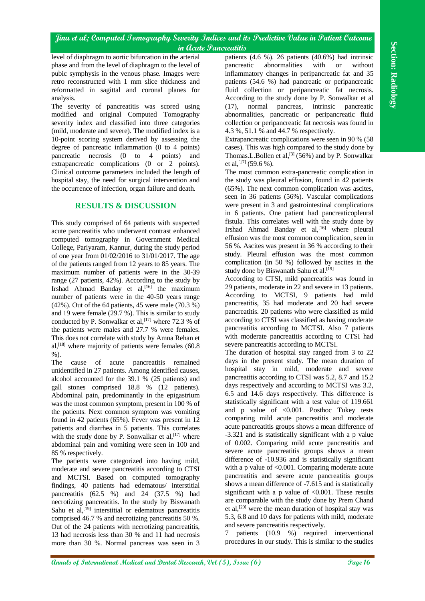level of diaphragm to aortic bifurcation in the arterial phase and from the level of diaphragm to the level of pubic symphysis in the venous phase. Images were retro reconstructed with 1 mm slice thickness and reformatted in sagittal and coronal planes for analysis.

The severity of pancreatitis was scored using modified and original Computed Tomography severity index and classified into three categories (mild, moderate and severe). The modified index is a 10-point scoring system derived by assessing the degree of pancreatic inflammation (0 to 4 points) pancreatic necrosis (0 to 4 points) and extrapancreatic complications (0 or 2 points). Clinical outcome parameters included the length of hospital stay, the need for surgical intervention and the occurrence of infection, organ failure and death.

# **RESULTS & DISCUSSION**

This study comprised of 64 patients with suspected acute pancreatitis who underwent contrast enhanced computed tomography in Government Medical College, Pariyaram, Kannur, during the study period of one year from 01/02/2016 to 31/01/2017. The age of the patients ranged from 12 years to 85 years. The maximum number of patients were in the 30-39 range (27 patients, 42%). According to the study by Irshad Ahmad Banday et al,<sup>[16]</sup> the maximum number of patients were in the 40-50 years range (42%). Out of the 64 patients, 45 were male (70.3 %) and 19 were female (29.7 %). This is similar to study conducted by P. Sonwalkar et al,  $[17]$  where 72.3 % of the patients were males and 27.7 % were females. This does not correlate with study by Amna Rehan et al,  $[18]$  where majority of patients were females (60.8)  $\%$ ).

The cause of acute pancreatitis remained unidentified in 27 patients. Among identified causes, alcohol accounted for the 39.1 % (25 patients) and gall stones comprised 18.8 % (12 patients). Abdominal pain, predominantly in the epigastrium was the most common symptom, present in 100 % of the patients. Next common symptom was vomiting found in 42 patients (65%). Fever was present in 12 patients and diarrhea in 5 patients. This correlates with the study done by P. Sonwalkar et al,  $[17]$  where abdominal pain and vomiting were seen in 100 and 85 % respectively.

The patients were categorized into having mild, moderate and severe pancreatitis according to CTSI and MCTSI. Based on computed tomography findings, 40 patients had edematous/ interstitial pancreatitis (62.5 %) and 24 (37.5 %) had necrotizing pancreatitis. In the study by Biswanath Sahu et  $al$ ,  $[19]$  interstitial or edematous pancreatitis comprised 46.7 % and necrotizing pancreatitis 50 %. Out of the 24 patients with necrotizing pancreatitis, 13 had necrosis less than 30 % and 11 had necrosis more than 30 %. Normal pancreas was seen in 3

patients (4.6 %). 26 patients (40.6%) had intrinsic pancreatic abnormalities with or without inflammatory changes in peripancreatic fat and 35 patients (54.6 %) had pancreatic or peripancreatic fluid collection or peripancreatic fat necrosis. According to the study done by P. Sonwalkar et al (17), normal pancreas, intrinsic pancreatic abnormalities, pancreatic or peripancreatic fluid collection or peripancreatic fat necrosis was found in 4.3 %, 51.1 % and 44.7 % respectively.

Extrapancreatic complications were seen in 90 % (58 cases). This was high compared to the study done by Thomas. L. Bollen et al,  $[3]$  (56%) and by P. Sonwalkar et al,  $^{[17]}$  (59.6 %).

The most common extra-pancreatic complication in the study was pleural effusion, found in 42 patients (65%). The next common complication was ascites, seen in 36 patients (56%). Vascular complications were present in 3 and gastrointestinal complications in 6 patients. One patient had pancreaticopleural fistula. This correlates well with the study done by Irshad Ahmad Banday et al,<sup>[16]</sup> where pleural effusion was the most common complication, seen in 56 %. Ascites was present in 36 % according to their study. Pleural effusion was the most common complication (in 50 %) followed by ascites in the study done by Biswanath Sahu et al.<sup>[19]</sup>

According to CTSI, mild pancreatitis was found in 29 patients, moderate in 22 and severe in 13 patients. According to MCTSI, 9 patients had mild pancreatitis, 35 had moderate and 20 had severe pancreatitis. 20 patients who were classified as mild according to CTSI was classified as having moderate pancreatitis according to MCTSI. Also 7 patients with moderate pancreatitis according to CTSI had severe pancreatitis according to MCTSI.

**And the section of the Section Annals of Concernent Conservation and the section of Conservation and Dental Annals of Conservation and Dental Annals of Conservation and Dental Research (AC) and Dental Research (AC) and D** The duration of hospital stay ranged from 3 to 22 days in the present study. The mean duration of hospital stay in mild, moderate and severe pancreatitis according to CTSI was 5.2, 8.7 and 15.2 days respectively and according to MCTSI was 3.2, 6.5 and 14.6 days respectively. This difference is statistically significant with a test value of 119.661 and p value of <0.001. Posthoc Tukey tests comparing mild acute pancreatitis and moderate acute pancreatitis groups shows a mean difference of -3.321 and is statistically significant with a p value of 0.002. Comparing mild acute pancreatitis and severe acute pancreatitis groups shows a mean difference of -10.936 and is statistically significant with a p value of <0.001. Comparing moderate acute pancreatitis and severe acute pancreatitis groups shows a mean difference of -7.615 and is statistically significant with a p value of  $\langle 0.001$ . These results are comparable with the study done by Prem Chand et al, [20] were the mean duration of hospital stay was 5.3, 6.8 and 10 days for patients with mild, moderate and severe pancreatitis respectively.

7 patients (10.9 %) required interventional procedures in our study. This is similar to the studies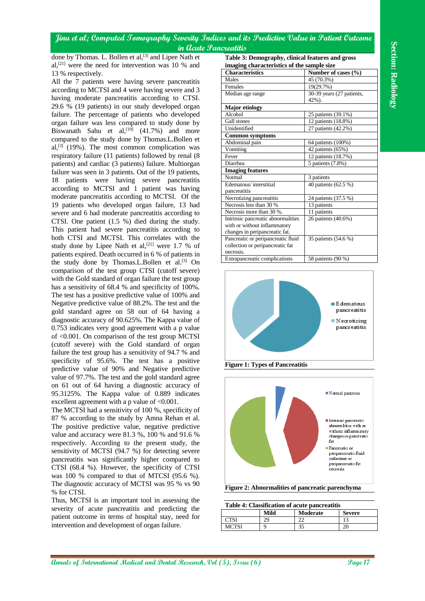done by Thomas. L. Bollen et al,<sup>[3]</sup> and Lipee Nath et al, [21] were the need for intervention was 10 % and 13 % respectively.

**Annual Medical and The Control of Control of Dental Annals of International Medical and The Control of The Control of The Control of The Control of The Control of The Control of The Control of The Control of The Control** All the 7 patients were having severe pancreatitis according to MCTSI and 4 were having severe and 3 having moderate pancreatitis according to CTSI. 29.6 % (19 patients) in our study developed organ failure. The percentage of patients who developed organ failure was less compared to study done by Biswanath Sahu et al,<sup>[19]</sup> (41.7%) and more compared to the study done by Thomas.L.Bollen et al, $[3]$  (19%). The most common complication was respiratory failure (11 patients) followed by renal (8 patients) and cardiac (3 patients) failure. Multiorgan failure was seen in 3 patients. Out of the 19 patients, 18 patients were having severe pancreatitis according to MCTSI and 1 patient was having moderate pancreatitis according to MCTSI. Of the 19 patients who developed organ failure, 13 had severe and 6 had moderate pancreatitis according to CTSI. One patient (1.5 %) died during the study. This patient had severe pancreatitis according to both CTSI and MCTSI. This correlates with the study done by Lipee Nath et al, $[21]$  were 1.7 % of patients expired. Death occurred in 6 % of patients in the study done by Thomas.L.Bollen et al.<sup>[3]</sup> On comparison of the test group CTSI (cutoff severe) with the Gold standard of organ failure the test group has a sensitivity of 68.4 % and specificity of 100%. The test has a positive predictive value of 100% and Negative predictive value of 88.2%. The test and the gold standard agree on 58 out of 64 having a diagnostic accuracy of 90.625%. The Kappa value of 0.753 indicates very good agreement with a p value of <0.001. On comparison of the test group MCTSI (cutoff severe) with the Gold standard of organ failure the test group has a sensitivity of 94.7 % and specificity of 95.6%. The test has a positive predictive value of 90% and Negative predictive value of 97.7%. The test and the gold standard agree on 61 out of 64 having a diagnostic accuracy of 95.3125%. The Kappa value of 0.889 indicates excellent agreement with a p value of  $< 0.001$ .

The MCTSI had a sensitivity of 100 %, specificity of 87 % according to the study by Amna Rehan et al. The positive predictive value, negative predictive value and accuracy were 81.3 %, 100 % and 91.6 % respectively. According to the present study, the sensitivity of MCTSI (94.7 %) for detecting severe pancreatitis was significantly higher compared to CTSI (68.4 %). However, the specificity of CTSI was 100 % compared to that of MTCSI (95.6 %). The diagnostic accuracy of MCTSI was 95 % vs 90 % for CTSI.

Thus, MCTSI is an important tool in assessing the severity of acute pancreatitis and predicting the patient outcome in terms of hospital stay, need for intervention and development of organ failure.

**Table 3: Demography, clinical features and gross imaging characteristics of the sample size**

| <b>Characteristics</b>             | Number of cases $(\% )$        |
|------------------------------------|--------------------------------|
| Males                              | 45 (70.3%)                     |
| Females                            | 19(29.7%)                      |
| Median age range                   | 30-39 years (27 patients,      |
|                                    | 42%).                          |
| <b>Major etiology</b>              |                                |
| Alcohol                            | 25 patients (39.1%)            |
| Gall stones                        | 12 patients (18.8%)            |
| Unidentified                       | 27 patients (42.2%)            |
| <b>Common symptoms</b>             |                                |
| Abdominal pain                     | 64 patients (100%)             |
| Vomiting                           | 42 patients (65%)              |
| Fever                              | 12 patients (18.7%)            |
| Diarrhea                           | $\overline{5}$ patients (7.8%) |
| <b>Imaging features</b>            |                                |
| Normal                             | 3 patients                     |
| Edematous/interstitial             | 40 patients (62.5 %)           |
| pancreatitis                       |                                |
| Necrotizing pancreatitis           | 24 patients (37.5 %)           |
| Necrosis less than 30 %            | 13 patients                    |
| Necrosis more than 30 %.           | 11 patients                    |
| Intrinsic pancreatic abnormalities | 26 patients (40.6%)            |
| with or without inflammatory       |                                |
| changes in peripancreatic fat.     |                                |
| Pancreatic or peripancreatic fluid | 35 patients (54.6 %)           |
| collection or peripancreatic fat   |                                |
| necrosis.                          |                                |
| Extrapancreatic complications      | 58 patients (90 %)             |







**Table 4: Classification of acute pancreatitis**

| Table 7. Chassineation of acute panel cattles |      |                 |               |  |  |  |  |
|-----------------------------------------------|------|-----------------|---------------|--|--|--|--|
|                                               | Mild | <b>Moderate</b> | <b>Severe</b> |  |  |  |  |
|                                               |      | ົ               |               |  |  |  |  |
| MCTSI                                         |      | $\gamma$<br>эJ  |               |  |  |  |  |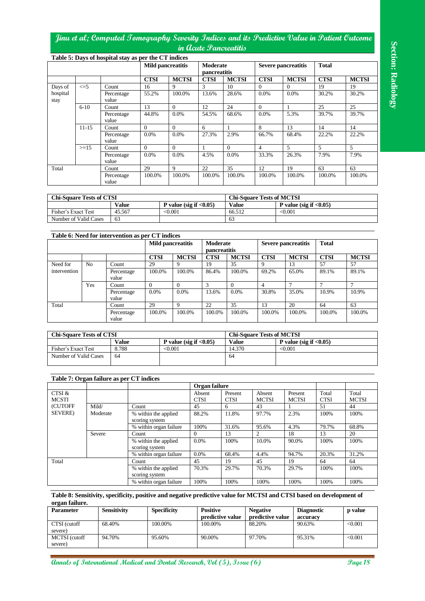|                                                                                                                                                                                                                                            |                |                     |              |                                                      |                    |                           |                                                                                                                      | in Acute Pancreatitis |                                  |                |                                        |                 |                      |
|--------------------------------------------------------------------------------------------------------------------------------------------------------------------------------------------------------------------------------------------|----------------|---------------------|--------------|------------------------------------------------------|--------------------|---------------------------|----------------------------------------------------------------------------------------------------------------------|-----------------------|----------------------------------|----------------|----------------------------------------|-----------------|----------------------|
|                                                                                                                                                                                                                                            |                |                     |              | Table 5: Days of hospital stay as per the CT indices |                    | <b>Mild pancreatitis</b>  | Moderate<br>pancreatitis                                                                                             |                       |                                  |                | <b>Severe pancreatitis</b>             | <b>Total</b>    |                      |
|                                                                                                                                                                                                                                            |                |                     |              | <b>CTSI</b>                                          |                    | <b>MCTSI</b>              | <b>CTSI</b>                                                                                                          | <b>MCTSI</b>          | <b>CTSI</b>                      |                | <b>MCTSI</b>                           | <b>CTSI</b>     | <b>MCTSI</b>         |
| Days of                                                                                                                                                                                                                                    | $\leq$ =5      | Count               |              | 16                                                   |                    | 9                         | 3                                                                                                                    | 10                    | $\mathbf{0}$                     | $\Omega$       |                                        | $\overline{19}$ | 19                   |
| hospital<br>stay                                                                                                                                                                                                                           |                | Percentage<br>value |              | 55.2%                                                |                    | 100.0%                    | 13.6%                                                                                                                | 28.6%                 | 0.0%                             |                | 0.0%                                   | 30.2%           | 30.2%                |
|                                                                                                                                                                                                                                            | $6 - 10$       | Count               |              | 13                                                   |                    | $\overline{0}$            | 12                                                                                                                   | 24                    | $\mathbf{0}$                     | 1              |                                        | 25              | $25\,$               |
|                                                                                                                                                                                                                                            |                | Percentage          |              | 44.8%                                                |                    | 0.0%                      | 54.5%                                                                                                                | 68.6%                 | 0.0%                             |                | 5.3%                                   | 39.7%           | 39.7%                |
|                                                                                                                                                                                                                                            |                | value               |              |                                                      |                    |                           |                                                                                                                      |                       |                                  |                |                                        |                 |                      |
|                                                                                                                                                                                                                                            | $11 - 15$      | Count               |              | $\overline{0}$                                       |                    | $\overline{0}$            | 6                                                                                                                    | $\mathbf{1}$          | $\,8\,$                          |                | 13                                     | 14              | 14                   |
|                                                                                                                                                                                                                                            |                | Percentage<br>value |              | 0.0%                                                 |                    | 0.0%                      | 27.3%                                                                                                                | 2.9%                  | 66.7%                            |                | 68.4%                                  | 22.2%           | 22.2%                |
|                                                                                                                                                                                                                                            | $>=15$         | Count               |              | $\boldsymbol{0}$                                     |                    | $\boldsymbol{0}$          | $\mathbf{1}$                                                                                                         | $\overline{0}$        | $\overline{4}$                   | 5              |                                        | 5               | 5                    |
|                                                                                                                                                                                                                                            |                | Percentage          |              | 0.0%                                                 |                    | 0.0%                      | 4.5%                                                                                                                 | 0.0%                  | 33.3%                            |                | 26.3%                                  | 7.9%            | 7.9%                 |
|                                                                                                                                                                                                                                            |                | value               |              |                                                      |                    |                           |                                                                                                                      |                       |                                  |                |                                        |                 |                      |
| Total                                                                                                                                                                                                                                      |                | Count<br>Percentage |              | 29<br>100.0%                                         |                    | 9<br>100.0%               | 22<br>100.0%                                                                                                         | 35<br>100.0%          | 12<br>100.0%                     |                | 19<br>100.0%                           | 63<br>100.0%    | 63<br>100.0%         |
|                                                                                                                                                                                                                                            |                | value               |              |                                                      |                    |                           |                                                                                                                      |                       |                                  |                |                                        |                 |                      |
|                                                                                                                                                                                                                                            |                |                     |              |                                                      |                    |                           |                                                                                                                      |                       |                                  |                |                                        |                 |                      |
| <b>Chi-Square Tests of CTSI</b>                                                                                                                                                                                                            |                |                     |              |                                                      |                    |                           |                                                                                                                      |                       | <b>Chi-Square Tests of MCTSI</b> |                |                                        |                 |                      |
|                                                                                                                                                                                                                                            |                |                     | <b>Value</b> |                                                      |                    | P value (sig if $<0.05$ ) |                                                                                                                      | <b>Value</b>          |                                  |                | P value (sig if $\langle 0.05 \rangle$ |                 |                      |
| Fisher's Exact Test                                                                                                                                                                                                                        |                |                     | 45.567       |                                                      | < 0.001            |                           |                                                                                                                      | 66.512                |                                  | $\sqrt{0.001}$ |                                        |                 |                      |
| Number of Valid Cases                                                                                                                                                                                                                      |                | 63                  |              |                                                      |                    |                           |                                                                                                                      | 63                    |                                  |                |                                        |                 |                      |
|                                                                                                                                                                                                                                            |                |                     |              |                                                      |                    |                           |                                                                                                                      |                       |                                  |                |                                        |                 |                      |
|                                                                                                                                                                                                                                            |                |                     |              | Table 6: Need for intervention as per CT indices     |                    |                           |                                                                                                                      |                       |                                  |                |                                        |                 |                      |
|                                                                                                                                                                                                                                            |                |                     |              |                                                      |                    | <b>Mild pancreatitis</b>  | Moderate                                                                                                             |                       |                                  |                | <b>Severe pancreatitis</b>             | <b>Total</b>    |                      |
|                                                                                                                                                                                                                                            |                |                     |              | <b>CTSI</b>                                          |                    | <b>MCTSI</b>              | pancreatitis<br><b>CTSI</b>                                                                                          | <b>MCTSI</b>          | <b>CTSI</b>                      |                | <b>MCTSI</b>                           | <b>CTSI</b>     | <b>MCTSI</b>         |
| Need for                                                                                                                                                                                                                                   | N <sub>o</sub> | Count               |              | 29                                                   |                    | 9                         | 19                                                                                                                   | 35                    | 9                                |                | 13                                     | 57              | 57                   |
| intervention                                                                                                                                                                                                                               |                |                     | Percentage   | 100.0%                                               |                    | 100.0%                    | 86.4%                                                                                                                | 100.0%                | 69.2%                            |                | 65.0%                                  | 89.1%           | 89.1%                |
|                                                                                                                                                                                                                                            |                | value               |              |                                                      |                    |                           |                                                                                                                      |                       |                                  |                |                                        |                 |                      |
|                                                                                                                                                                                                                                            | Yes            | Count               |              | $\boldsymbol{0}$                                     |                    | $\mathbf{0}$              | 3                                                                                                                    | $\theta$              | $\overline{4}$                   |                | 7                                      | $\overline{7}$  | $\overline{7}$       |
|                                                                                                                                                                                                                                            |                |                     | Percentage   | 0.0%                                                 |                    | 0.0%                      | 13.6%                                                                                                                | 0.0%                  | 30.8%                            |                | 35.0%                                  | 10.9%           | 10.9%                |
| Total                                                                                                                                                                                                                                      |                | value<br>Count      |              | 29                                                   |                    | 9                         | 22                                                                                                                   | $\overline{35}$       | 13                               |                | 20                                     | 64              | 63                   |
|                                                                                                                                                                                                                                            |                |                     | Percentage   | 100.0%                                               |                    | 100.0%                    | 100.0%                                                                                                               | 100.0%                | 100.0%                           |                | 100.0%                                 | 100.0%          | 100.0%               |
|                                                                                                                                                                                                                                            |                | value               |              |                                                      |                    |                           |                                                                                                                      |                       |                                  |                |                                        |                 |                      |
|                                                                                                                                                                                                                                            |                |                     |              |                                                      |                    |                           |                                                                                                                      |                       |                                  |                |                                        |                 |                      |
|                                                                                                                                                                                                                                            |                |                     |              |                                                      |                    |                           |                                                                                                                      |                       |                                  |                |                                        |                 |                      |
|                                                                                                                                                                                                                                            |                |                     |              |                                                      |                    |                           |                                                                                                                      |                       | <b>Chi-Square Tests of MCTSI</b> |                |                                        |                 |                      |
|                                                                                                                                                                                                                                            |                |                     | <b>Value</b> |                                                      |                    | P value (sig if $<0.05$ ) |                                                                                                                      | <b>Value</b>          |                                  |                | P value (sig if $\langle 0.05 \rangle$ |                 |                      |
|                                                                                                                                                                                                                                            |                |                     | 8.788        |                                                      | < 0.001            |                           |                                                                                                                      | 14.370                |                                  | < 0.001        |                                        |                 |                      |
|                                                                                                                                                                                                                                            |                | 64                  |              |                                                      |                    |                           |                                                                                                                      | 64                    |                                  |                |                                        |                 |                      |
|                                                                                                                                                                                                                                            |                |                     |              |                                                      |                    |                           |                                                                                                                      |                       |                                  |                |                                        |                 |                      |
|                                                                                                                                                                                                                                            |                |                     |              |                                                      |                    |                           |                                                                                                                      |                       |                                  |                |                                        |                 |                      |
|                                                                                                                                                                                                                                            |                |                     |              |                                                      |                    |                           | Organ failure                                                                                                        |                       |                                  |                |                                        |                 |                      |
|                                                                                                                                                                                                                                            |                |                     |              |                                                      |                    |                           | Absent                                                                                                               | Present               | Absent                           |                | Present                                | Total           | Total                |
|                                                                                                                                                                                                                                            |                |                     |              |                                                      |                    |                           | CTSI                                                                                                                 | <b>CTSI</b>           | <b>MCTSI</b>                     |                | <b>MCTSI</b>                           | <b>CTSI</b>     |                      |
|                                                                                                                                                                                                                                            | Mild/          |                     |              | Count                                                |                    |                           | 45                                                                                                                   | 6                     | 43                               |                | 1                                      | 51              | 44                   |
|                                                                                                                                                                                                                                            |                | Moderate            |              | % within the applied                                 |                    |                           | 88.2%                                                                                                                | 11.8%                 | 97.7%                            |                | 2.3%                                   | 100%            | 100%                 |
|                                                                                                                                                                                                                                            |                |                     |              | scoring system<br>% within organ failure             |                    |                           | 100%                                                                                                                 | 31.6%                 | 95.6%                            |                | 4.3%                                   | 79.7%           | 68.8%                |
|                                                                                                                                                                                                                                            | Severe         |                     |              | Count                                                |                    |                           | $\theta$                                                                                                             | 13                    | $\overline{c}$                   |                | 18                                     | 13              | $\overline{20}$      |
|                                                                                                                                                                                                                                            |                |                     |              | % within the applied                                 |                    |                           | 0.0%                                                                                                                 | 100%                  | 10.0%                            |                | 90.0%                                  | 100%            | 100%                 |
|                                                                                                                                                                                                                                            |                |                     |              | scoring system                                       |                    |                           |                                                                                                                      |                       |                                  |                |                                        |                 |                      |
|                                                                                                                                                                                                                                            |                |                     |              | % within organ failure                               |                    |                           | 0.0%                                                                                                                 | 68.4%                 | 4.4%                             |                | 94.7%                                  | 20.3%           | 31.2%                |
|                                                                                                                                                                                                                                            |                |                     |              | Count                                                |                    |                           | 45                                                                                                                   | 19                    | 45                               |                | 19                                     | 64              | 64                   |
|                                                                                                                                                                                                                                            |                |                     |              | % within the applied<br>scoring system               |                    |                           | 70.3%                                                                                                                | 29.7%                 | 70.3%                            |                | 29.7%                                  | 100%            | 100%                 |
|                                                                                                                                                                                                                                            |                |                     |              | % within organ failure                               |                    |                           | 100%                                                                                                                 | 100%                  | 100%                             |                | 100%                                   | 100%            | <b>MCTSI</b><br>100% |
|                                                                                                                                                                                                                                            |                |                     |              |                                                      |                    |                           | Table 8: Sensitivity, specificity, positive and negative predictive value for MCTSI and CTSI based on development of |                       |                                  |                |                                        |                 |                      |
|                                                                                                                                                                                                                                            |                |                     |              |                                                      |                    |                           |                                                                                                                      |                       |                                  |                |                                        |                 |                      |
|                                                                                                                                                                                                                                            |                | Sensitivity         |              |                                                      | <b>Specificity</b> |                           | <b>Positive</b>                                                                                                      |                       | <b>Negative</b>                  |                | <b>Diagnostic</b>                      |                 | p value              |
| <b>Chi-Square Tests of CTSI</b><br>Fisher's Exact Test<br>Number of Valid Cases<br>Table 7: Organ failure as per CT indices<br>CTSI &<br><b>MCSTI</b><br>(CUTOFF<br>SEVERE)<br>Total<br>organ failure.<br><b>Parameter</b><br>CTSI (cutoff |                | 68.40%              |              |                                                      | 100.00%            |                           | predictive value<br>100.00%                                                                                          |                       | predictive value<br>88.20%       |                | accuracy<br>90.63%                     |                 | < 0.001              |
| severe)<br>MCTSI (cutoff                                                                                                                                                                                                                   |                | 94.70%              |              |                                                      | 95.60%             |                           | 90.00%                                                                                                               |                       | 97.70%                           |                | 95.31%                                 |                 | < 0.001              |

| <b>Chi-Square Tests of CTSI</b> |        |                            | <b>Chi-Square Tests of MCTSI</b> |                            |  |
|---------------------------------|--------|----------------------------|----------------------------------|----------------------------|--|
|                                 | Value  | P value (sig if $< 0.05$ ) | <b>Value</b>                     | P value (sig if $< 0.05$ ) |  |
| Fisher's Exact Test             | 45.567 | $<$ 0.001 $\,$             | 66.512                           | < 0.001                    |  |
| Number of Valid Cases           | 63     |                            | 63                               |                            |  |

| Table 6: Need for intervention as per CT indices |                |                     |             |                          |               |                                 |             |                     |             |              |
|--------------------------------------------------|----------------|---------------------|-------------|--------------------------|---------------|---------------------------------|-------------|---------------------|-------------|--------------|
|                                                  |                |                     |             | <b>Mild pancreatitis</b> |               | Moderate<br><b>pancreatitis</b> |             | Severe pancreatitis |             |              |
|                                                  |                |                     | <b>CTSI</b> | <b>MCTSI</b>             | <b>CTSI</b>   | <b>MCTSI</b>                    | <b>CTSI</b> | <b>MCTSI</b>        | <b>CTSI</b> | <b>MCTSI</b> |
| Need for                                         | N <sub>o</sub> | Count               | 29          | 9                        | 19            | 35                              | Q           | 13                  | 57          | 57           |
| intervention                                     |                | Percentage<br>value | 100.0%      | 100.0%                   | 86.4%         | 100.0%                          | 69.2%       | 65.0%               | 89.1%       | 89.1%        |
|                                                  | Yes            | Count               | $\Omega$    | $\Omega$                 | $\mathcal{R}$ |                                 | 4           |                     |             |              |
|                                                  |                | Percentage<br>value | $0.0\%$     | 0.0%                     | 13.6%         | 0.0%                            | 30.8%       | 35.0%               | 10.9%       | 10.9%        |
| Total                                            |                | Count               | 29          | 9                        | 22            | 35                              | 13          | 20                  | 64          | 63           |
|                                                  |                | Percentage<br>value | 100.0%      | 100.0%                   | 100.0%        | 100.0%                          | 100.0%      | 100.0%              | 100.0%      | 100.0%       |

| <b>Chi-Square Tests of CTSI</b> |       |                            | <b>Chi-Square Tests of MCTSI</b> |                            |  |
|---------------------------------|-------|----------------------------|----------------------------------|----------------------------|--|
|                                 | Value | P value (sig if $< 0.05$ ) | <b>Value</b>                     | P value (sig if $< 0.05$ ) |  |
| Fisher's Exact Test             | 8.788 | < 0.001                    | 14.370                           | < 0.001                    |  |
| Number of Valid Cases           | 64    |                            | 64                               |                            |  |
|                                 |       |                            |                                  |                            |  |

# **Table 7: Organ failure as per CT indices**

|                             |                                        |                                        | Organ failure         |                        |                        |                         |                      |                       |
|-----------------------------|----------------------------------------|----------------------------------------|-----------------------|------------------------|------------------------|-------------------------|----------------------|-----------------------|
| CTSI &<br><b>MCSTI</b>      |                                        |                                        | Absent<br><b>CTSI</b> | Present<br><b>CTSI</b> | Absent<br><b>MCTSI</b> | Present<br><b>MCTSI</b> | Total<br><b>CTSI</b> | Total<br><b>MCTSI</b> |
| <b>(CUTOFF)</b>             | Mild/                                  | Count                                  | 45                    | 6                      | 43                     |                         | 51                   | 44                    |
| <b>SEVERE</b> )<br>Moderate | % within the applied<br>scoring system | 88.2%                                  | 11.8%                 | 97.7%                  | 2.3%                   | 100%                    | 100%                 |                       |
|                             |                                        | % within organ failure                 | 100%                  | 31.6%                  | 95.6%                  | 4.3%                    | 79.7%                | 68.8%                 |
| Severe                      |                                        | Count                                  | $\Omega$              | 13                     | 2                      | 18                      | 13                   | 20                    |
|                             |                                        | % within the applied<br>scoring system | $0.0\%$               | 100%                   | 10.0%                  | 90.0%                   | 100%                 | 100%                  |
|                             |                                        | % within organ failure                 | $0.0\%$               | 68.4%                  | 4.4%                   | 94.7%                   | 20.3%                | 31.2%                 |
| Total                       |                                        | Count                                  | 45                    | 19                     | 45                     | 19                      | 64                   | 64                    |
|                             |                                        | % within the applied<br>scoring system | 70.3%                 | 29.7%                  | 70.3%                  | 29.7%                   | 100%                 | 100%                  |
|                             |                                        | % within organ failure                 | 100%                  | 100%                   | 100%                   | 100%                    | 100%                 | 100%                  |

| <b>Parameter</b>         | <b>Sensitivity</b> | <b>Specificity</b> | <b>Positive</b>  | <b>Negative</b>  | <b>Diagnostic</b> | <b>p</b> value |
|--------------------------|--------------------|--------------------|------------------|------------------|-------------------|----------------|
|                          |                    |                    | predictive value | predictive value | accuracy          |                |
| CTSI (cutoff<br>severe)  | 68.40%             | 100.00%            | 100.00%          | 88.20%           | 90.63%            | < 0.001        |
| MCTSI (cutoff<br>severe) | 94.70%             | 95.60%             | 90.00%           | 97.70%           | 95.31%            | < 0.001        |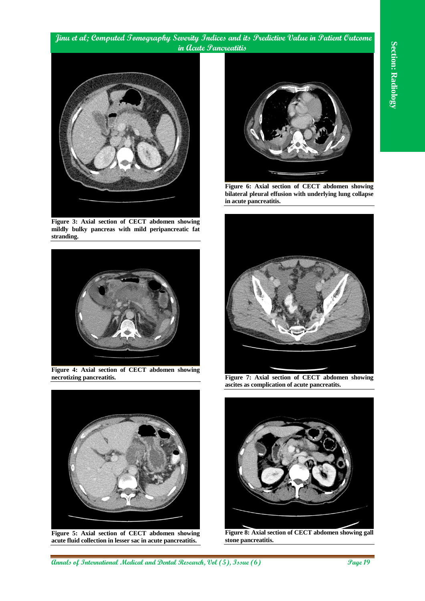

**Figure 3: Axial section of CECT abdomen showing mildly bulky pancreas with mild peripancreatic fat stranding.**



**Figure 4: Axial section of CECT abdomen showing necrotizing pancreatitis.**



**Figure 5: Axial section of CECT abdomen showing acute fluid collection in lesser sac in acute pancreatitis.**



**Figure 6: Axial section of CECT abdomen showing bilateral pleural effusion with underlying lung collapse in acute pancreatitis.**



**Figure 7: Axial section of CECT abdomen showing ascites as complication of acute pancreatits.**



**Figure 8: Axial section of CECT abdomen showing gall stone pancreatitis.**